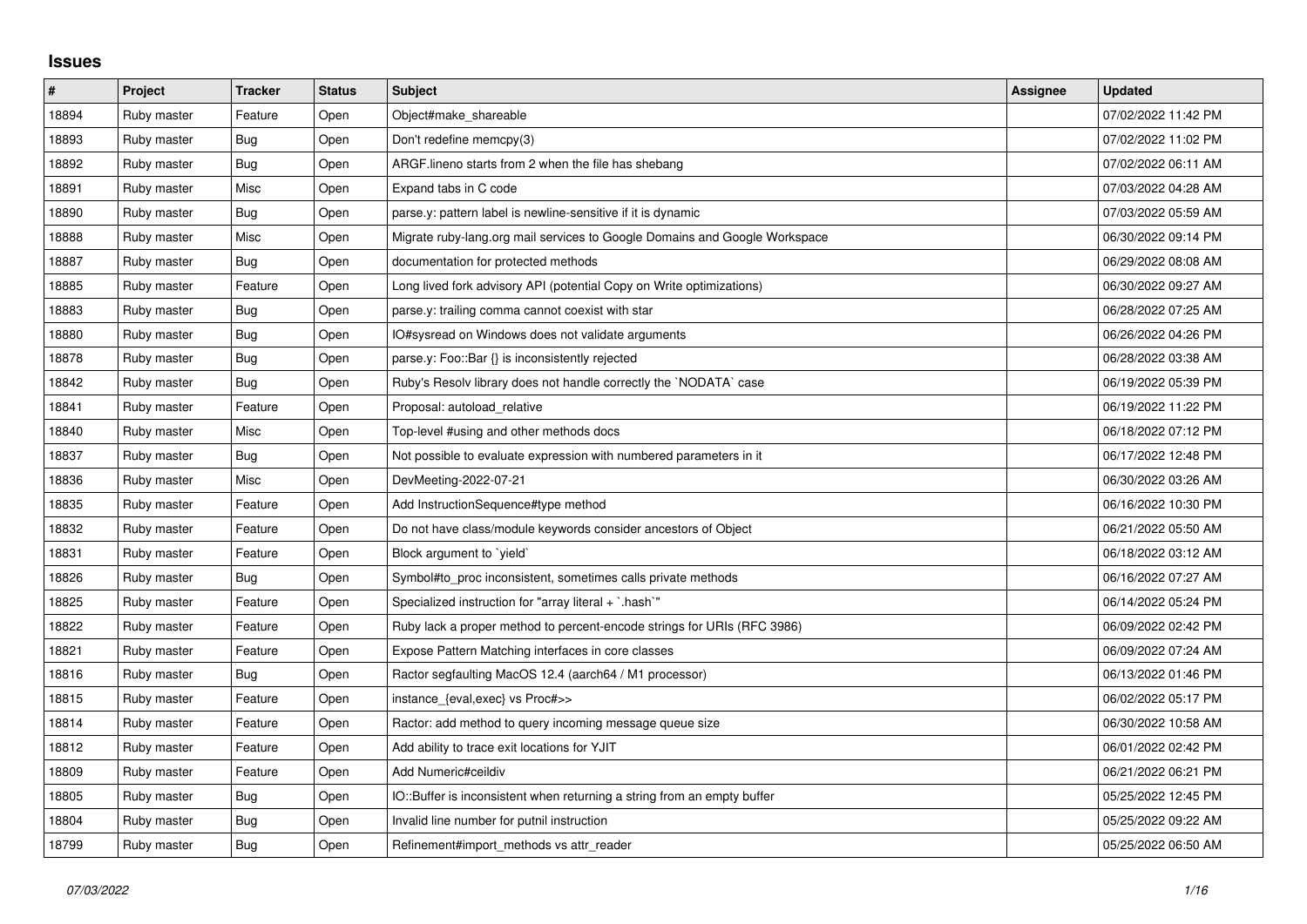## **Issues**

| $\sharp$ | Project     | <b>Tracker</b> | <b>Status</b> | <b>Subject</b>                                                             | Assignee | <b>Updated</b>      |
|----------|-------------|----------------|---------------|----------------------------------------------------------------------------|----------|---------------------|
| 18894    | Ruby master | Feature        | Open          | Object#make shareable                                                      |          | 07/02/2022 11:42 PM |
| 18893    | Ruby master | Bug            | Open          | Don't redefine memcpy(3)                                                   |          | 07/02/2022 11:02 PM |
| 18892    | Ruby master | <b>Bug</b>     | Open          | ARGF lineno starts from 2 when the file has shebang                        |          | 07/02/2022 06:11 AM |
| 18891    | Ruby master | Misc           | Open          | Expand tabs in C code                                                      |          | 07/03/2022 04:28 AM |
| 18890    | Ruby master | Bug            | Open          | parse.y: pattern label is newline-sensitive if it is dynamic               |          | 07/03/2022 05:59 AM |
| 18888    | Ruby master | Misc           | Open          | Migrate ruby-lang.org mail services to Google Domains and Google Workspace |          | 06/30/2022 09:14 PM |
| 18887    | Ruby master | Bug            | Open          | documentation for protected methods                                        |          | 06/29/2022 08:08 AM |
| 18885    | Ruby master | Feature        | Open          | Long lived fork advisory API (potential Copy on Write optimizations)       |          | 06/30/2022 09:27 AM |
| 18883    | Ruby master | Bug            | Open          | parse.y: trailing comma cannot coexist with star                           |          | 06/28/2022 07:25 AM |
| 18880    | Ruby master | Bug            | Open          | IO#sysread on Windows does not validate arguments                          |          | 06/26/2022 04:26 PM |
| 18878    | Ruby master | Bug            | Open          | parse.y: Foo::Bar {} is inconsistently rejected                            |          | 06/28/2022 03:38 AM |
| 18842    | Ruby master | Bug            | Open          | Ruby's Resolv library does not handle correctly the `NODATA` case          |          | 06/19/2022 05:39 PM |
| 18841    | Ruby master | Feature        | Open          | Proposal: autoload_relative                                                |          | 06/19/2022 11:22 PM |
| 18840    | Ruby master | Misc           | Open          | Top-level #using and other methods docs                                    |          | 06/18/2022 07:12 PM |
| 18837    | Ruby master | Bug            | Open          | Not possible to evaluate expression with numbered parameters in it         |          | 06/17/2022 12:48 PM |
| 18836    | Ruby master | Misc           | Open          | DevMeeting-2022-07-21                                                      |          | 06/30/2022 03:26 AM |
| 18835    | Ruby master | Feature        | Open          | Add InstructionSequence#type method                                        |          | 06/16/2022 10:30 PM |
| 18832    | Ruby master | Feature        | Open          | Do not have class/module keywords consider ancestors of Object             |          | 06/21/2022 05:50 AM |
| 18831    | Ruby master | Feature        | Open          | Block argument to `yield`                                                  |          | 06/18/2022 03:12 AM |
| 18826    | Ruby master | Bug            | Open          | Symbol#to_proc inconsistent, sometimes calls private methods               |          | 06/16/2022 07:27 AM |
| 18825    | Ruby master | Feature        | Open          | Specialized instruction for "array literal + `.hash`"                      |          | 06/14/2022 05:24 PM |
| 18822    | Ruby master | Feature        | Open          | Ruby lack a proper method to percent-encode strings for URIs (RFC 3986)    |          | 06/09/2022 02:42 PM |
| 18821    | Ruby master | Feature        | Open          | Expose Pattern Matching interfaces in core classes                         |          | 06/09/2022 07:24 AM |
| 18816    | Ruby master | Bug            | Open          | Ractor segfaulting MacOS 12.4 (aarch64 / M1 processor)                     |          | 06/13/2022 01:46 PM |
| 18815    | Ruby master | Feature        | Open          | instance_{eval,exec} vs Proc#>>                                            |          | 06/02/2022 05:17 PM |
| 18814    | Ruby master | Feature        | Open          | Ractor: add method to query incoming message queue size                    |          | 06/30/2022 10:58 AM |
| 18812    | Ruby master | Feature        | Open          | Add ability to trace exit locations for YJIT                               |          | 06/01/2022 02:42 PM |
| 18809    | Ruby master | Feature        | Open          | Add Numeric#ceildiv                                                        |          | 06/21/2022 06:21 PM |
| 18805    | Ruby master | Bug            | Open          | IO::Buffer is inconsistent when returning a string from an empty buffer    |          | 05/25/2022 12:45 PM |
| 18804    | Ruby master | <b>Bug</b>     | Open          | Invalid line number for putnil instruction                                 |          | 05/25/2022 09:22 AM |
| 18799    | Ruby master | Bug            | Open          | Refinement#import methods vs attr reader                                   |          | 05/25/2022 06:50 AM |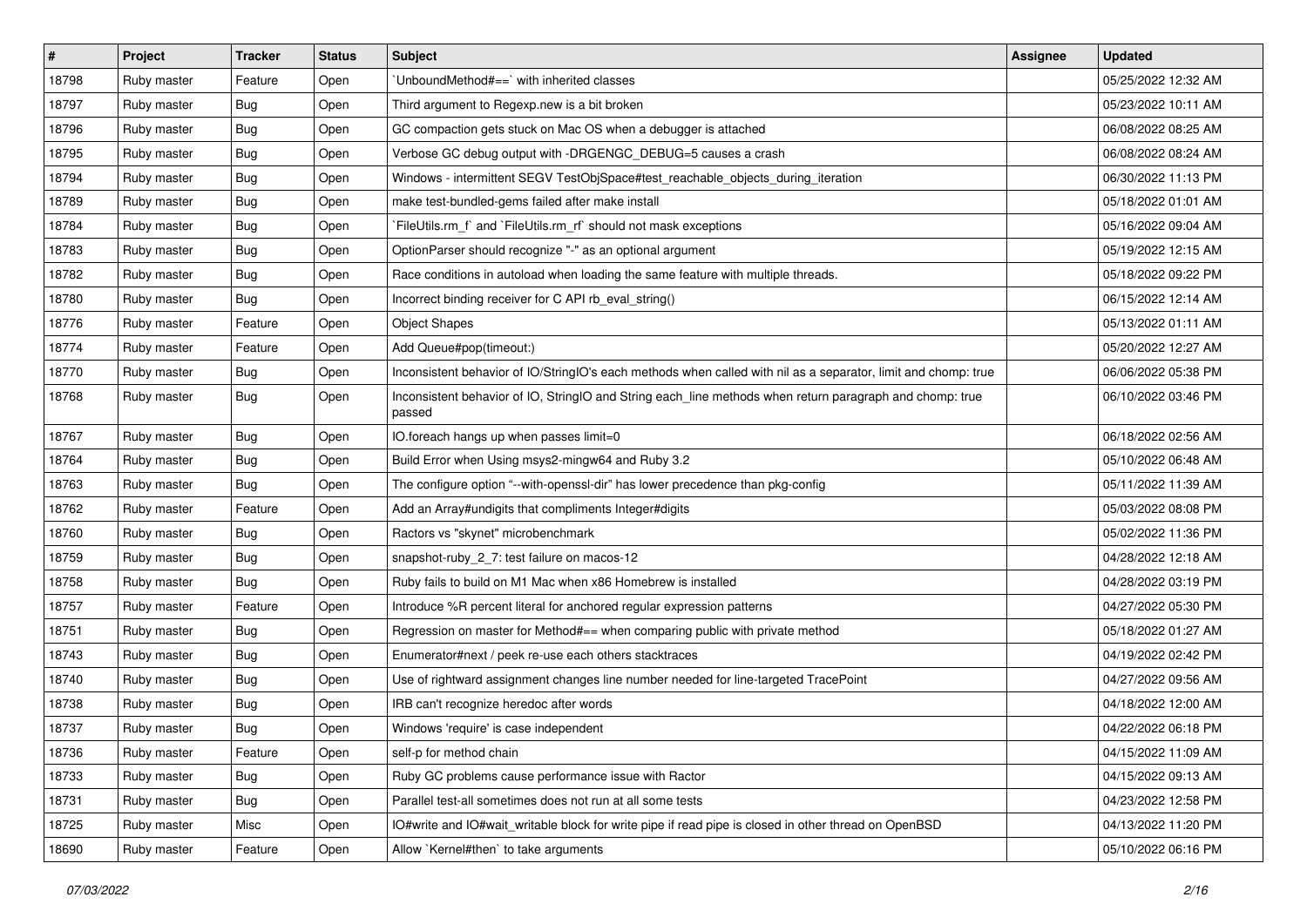| $\vert$ # | Project     | <b>Tracker</b> | <b>Status</b> | <b>Subject</b>                                                                                                     | <b>Assignee</b> | <b>Updated</b>      |
|-----------|-------------|----------------|---------------|--------------------------------------------------------------------------------------------------------------------|-----------------|---------------------|
| 18798     | Ruby master | Feature        | Open          | UnboundMethod#==`with inherited classes                                                                            |                 | 05/25/2022 12:32 AM |
| 18797     | Ruby master | Bug            | Open          | Third argument to Regexp.new is a bit broken                                                                       |                 | 05/23/2022 10:11 AM |
| 18796     | Ruby master | <b>Bug</b>     | Open          | GC compaction gets stuck on Mac OS when a debugger is attached                                                     |                 | 06/08/2022 08:25 AM |
| 18795     | Ruby master | Bug            | Open          | Verbose GC debug output with -DRGENGC_DEBUG=5 causes a crash                                                       |                 | 06/08/2022 08:24 AM |
| 18794     | Ruby master | <b>Bug</b>     | Open          | Windows - intermittent SEGV TestObjSpace#test_reachable_objects_during_iteration                                   |                 | 06/30/2022 11:13 PM |
| 18789     | Ruby master | <b>Bug</b>     | Open          | make test-bundled-gems failed after make install                                                                   |                 | 05/18/2022 01:01 AM |
| 18784     | Ruby master | <b>Bug</b>     | Open          | FileUtils.rm f and `FileUtils.rm rf should not mask exceptions                                                     |                 | 05/16/2022 09:04 AM |
| 18783     | Ruby master | <b>Bug</b>     | Open          | OptionParser should recognize "-" as an optional argument                                                          |                 | 05/19/2022 12:15 AM |
| 18782     | Ruby master | Bug            | Open          | Race conditions in autoload when loading the same feature with multiple threads.                                   |                 | 05/18/2022 09:22 PM |
| 18780     | Ruby master | Bug            | Open          | Incorrect binding receiver for C API rb_eval_string()                                                              |                 | 06/15/2022 12:14 AM |
| 18776     | Ruby master | Feature        | Open          | <b>Object Shapes</b>                                                                                               |                 | 05/13/2022 01:11 AM |
| 18774     | Ruby master | Feature        | Open          | Add Queue#pop(timeout:)                                                                                            |                 | 05/20/2022 12:27 AM |
| 18770     | Ruby master | <b>Bug</b>     | Open          | Inconsistent behavior of IO/StringIO's each methods when called with nil as a separator, limit and chomp: true     |                 | 06/06/2022 05:38 PM |
| 18768     | Ruby master | <b>Bug</b>     | Open          | Inconsistent behavior of IO, StringIO and String each_line methods when return paragraph and chomp: true<br>passed |                 | 06/10/2022 03:46 PM |
| 18767     | Ruby master | Bug            | Open          | IO.foreach hangs up when passes limit=0                                                                            |                 | 06/18/2022 02:56 AM |
| 18764     | Ruby master | <b>Bug</b>     | Open          | Build Error when Using msys2-mingw64 and Ruby 3.2                                                                  |                 | 05/10/2022 06:48 AM |
| 18763     | Ruby master | <b>Bug</b>     | Open          | The configure option "--with-openssl-dir" has lower precedence than pkg-config                                     |                 | 05/11/2022 11:39 AM |
| 18762     | Ruby master | Feature        | Open          | Add an Array#undigits that compliments Integer#digits                                                              |                 | 05/03/2022 08:08 PM |
| 18760     | Ruby master | <b>Bug</b>     | Open          | Ractors vs "skynet" microbenchmark                                                                                 |                 | 05/02/2022 11:36 PM |
| 18759     | Ruby master | <b>Bug</b>     | Open          | snapshot-ruby_2_7: test failure on macos-12                                                                        |                 | 04/28/2022 12:18 AM |
| 18758     | Ruby master | <b>Bug</b>     | Open          | Ruby fails to build on M1 Mac when x86 Homebrew is installed                                                       |                 | 04/28/2022 03:19 PM |
| 18757     | Ruby master | Feature        | Open          | Introduce %R percent literal for anchored regular expression patterns                                              |                 | 04/27/2022 05:30 PM |
| 18751     | Ruby master | Bug            | Open          | Regression on master for Method#== when comparing public with private method                                       |                 | 05/18/2022 01:27 AM |
| 18743     | Ruby master | <b>Bug</b>     | Open          | Enumerator#next / peek re-use each others stacktraces                                                              |                 | 04/19/2022 02:42 PM |
| 18740     | Ruby master | Bug            | Open          | Use of rightward assignment changes line number needed for line-targeted TracePoint                                |                 | 04/27/2022 09:56 AM |
| 18738     | Ruby master | <b>Bug</b>     | Open          | IRB can't recognize heredoc after words                                                                            |                 | 04/18/2022 12:00 AM |
| 18737     | Ruby master | Bug            | Open          | Windows 'require' is case independent                                                                              |                 | 04/22/2022 06:18 PM |
| 18736     | Ruby master | Feature        | Open          | self-p for method chain                                                                                            |                 | 04/15/2022 11:09 AM |
| 18733     | Ruby master | <b>Bug</b>     | Open          | Ruby GC problems cause performance issue with Ractor                                                               |                 | 04/15/2022 09:13 AM |
| 18731     | Ruby master | <b>Bug</b>     | Open          | Parallel test-all sometimes does not run at all some tests                                                         |                 | 04/23/2022 12:58 PM |
| 18725     | Ruby master | Misc           | Open          | IO#write and IO#wait writable block for write pipe if read pipe is closed in other thread on OpenBSD               |                 | 04/13/2022 11:20 PM |
| 18690     | Ruby master | Feature        | Open          | Allow `Kernel#then` to take arguments                                                                              |                 | 05/10/2022 06:16 PM |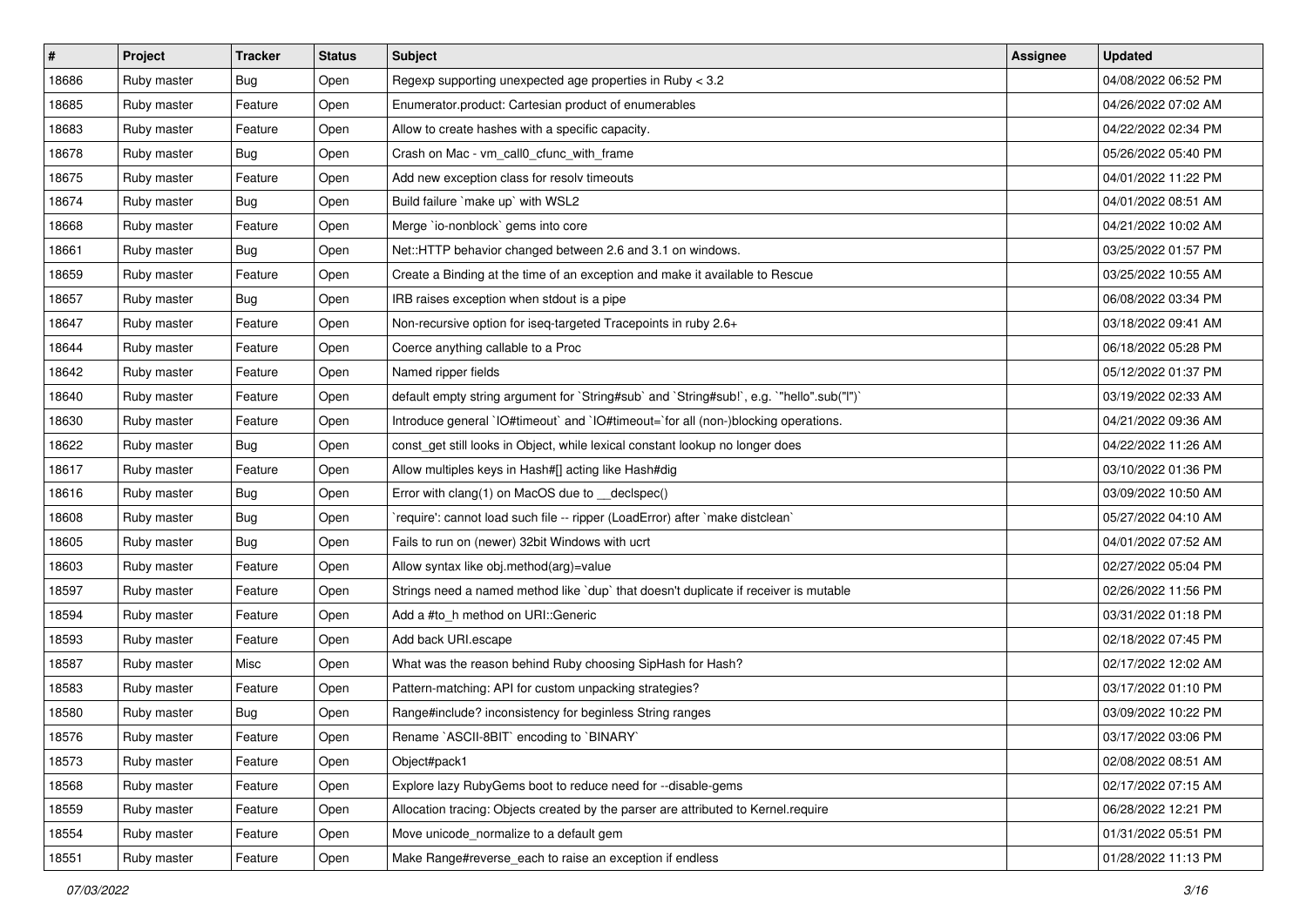| #     | Project     | <b>Tracker</b> | <b>Status</b> | <b>Subject</b>                                                                            | <b>Assignee</b> | <b>Updated</b>      |
|-------|-------------|----------------|---------------|-------------------------------------------------------------------------------------------|-----------------|---------------------|
| 18686 | Ruby master | Bug            | Open          | Regexp supporting unexpected age properties in Ruby < 3.2                                 |                 | 04/08/2022 06:52 PM |
| 18685 | Ruby master | Feature        | Open          | Enumerator.product: Cartesian product of enumerables                                      |                 | 04/26/2022 07:02 AM |
| 18683 | Ruby master | Feature        | Open          | Allow to create hashes with a specific capacity.                                          |                 | 04/22/2022 02:34 PM |
| 18678 | Ruby master | <b>Bug</b>     | Open          | Crash on Mac - vm_call0_cfunc_with_frame                                                  |                 | 05/26/2022 05:40 PM |
| 18675 | Ruby master | Feature        | Open          | Add new exception class for resolv timeouts                                               |                 | 04/01/2022 11:22 PM |
| 18674 | Ruby master | <b>Bug</b>     | Open          | Build failure `make up` with WSL2                                                         |                 | 04/01/2022 08:51 AM |
| 18668 | Ruby master | Feature        | Open          | Merge `io-nonblock` gems into core                                                        |                 | 04/21/2022 10:02 AM |
| 18661 | Ruby master | Bug            | Open          | Net::HTTP behavior changed between 2.6 and 3.1 on windows.                                |                 | 03/25/2022 01:57 PM |
| 18659 | Ruby master | Feature        | Open          | Create a Binding at the time of an exception and make it available to Rescue              |                 | 03/25/2022 10:55 AM |
| 18657 | Ruby master | Bug            | Open          | IRB raises exception when stdout is a pipe                                                |                 | 06/08/2022 03:34 PM |
| 18647 | Ruby master | Feature        | Open          | Non-recursive option for iseq-targeted Tracepoints in ruby 2.6+                           |                 | 03/18/2022 09:41 AM |
| 18644 | Ruby master | Feature        | Open          | Coerce anything callable to a Proc                                                        |                 | 06/18/2022 05:28 PM |
| 18642 | Ruby master | Feature        | Open          | Named ripper fields                                                                       |                 | 05/12/2022 01:37 PM |
| 18640 | Ruby master | Feature        | Open          | default empty string argument for `String#sub` and `String#sub!`, e.g. `"hello".sub("I")` |                 | 03/19/2022 02:33 AM |
| 18630 | Ruby master | Feature        | Open          | Introduce general `IO#timeout` and `IO#timeout=`for all (non-)blocking operations.        |                 | 04/21/2022 09:36 AM |
| 18622 | Ruby master | Bug            | Open          | const_get still looks in Object, while lexical constant lookup no longer does             |                 | 04/22/2022 11:26 AM |
| 18617 | Ruby master | Feature        | Open          | Allow multiples keys in Hash#[] acting like Hash#dig                                      |                 | 03/10/2022 01:36 PM |
| 18616 | Ruby master | Bug            | Open          | Error with clang(1) on MacOS due to _declspec()                                           |                 | 03/09/2022 10:50 AM |
| 18608 | Ruby master | <b>Bug</b>     | Open          | 'require': cannot load such file -- ripper (LoadError) after 'make distclean'             |                 | 05/27/2022 04:10 AM |
| 18605 | Ruby master | Bug            | Open          | Fails to run on (newer) 32bit Windows with ucrt                                           |                 | 04/01/2022 07:52 AM |
| 18603 | Ruby master | Feature        | Open          | Allow syntax like obj.method(arg)=value                                                   |                 | 02/27/2022 05:04 PM |
| 18597 | Ruby master | Feature        | Open          | Strings need a named method like 'dup' that doesn't duplicate if receiver is mutable      |                 | 02/26/2022 11:56 PM |
| 18594 | Ruby master | Feature        | Open          | Add a #to_h method on URI::Generic                                                        |                 | 03/31/2022 01:18 PM |
| 18593 | Ruby master | Feature        | Open          | Add back URI.escape                                                                       |                 | 02/18/2022 07:45 PM |
| 18587 | Ruby master | Misc           | Open          | What was the reason behind Ruby choosing SipHash for Hash?                                |                 | 02/17/2022 12:02 AM |
| 18583 | Ruby master | Feature        | Open          | Pattern-matching: API for custom unpacking strategies?                                    |                 | 03/17/2022 01:10 PM |
| 18580 | Ruby master | Bug            | Open          | Range#include? inconsistency for beginless String ranges                                  |                 | 03/09/2022 10:22 PM |
| 18576 | Ruby master | Feature        | Open          | Rename `ASCII-8BIT` encoding to `BINARY`                                                  |                 | 03/17/2022 03:06 PM |
| 18573 | Ruby master | Feature        | Open          | Object#pack1                                                                              |                 | 02/08/2022 08:51 AM |
| 18568 | Ruby master | Feature        | Open          | Explore lazy RubyGems boot to reduce need for --disable-gems                              |                 | 02/17/2022 07:15 AM |
| 18559 | Ruby master | Feature        | Open          | Allocation tracing: Objects created by the parser are attributed to Kernel.require        |                 | 06/28/2022 12:21 PM |
| 18554 | Ruby master | Feature        | Open          | Move unicode normalize to a default gem                                                   |                 | 01/31/2022 05:51 PM |
| 18551 | Ruby master | Feature        | Open          | Make Range#reverse_each to raise an exception if endless                                  |                 | 01/28/2022 11:13 PM |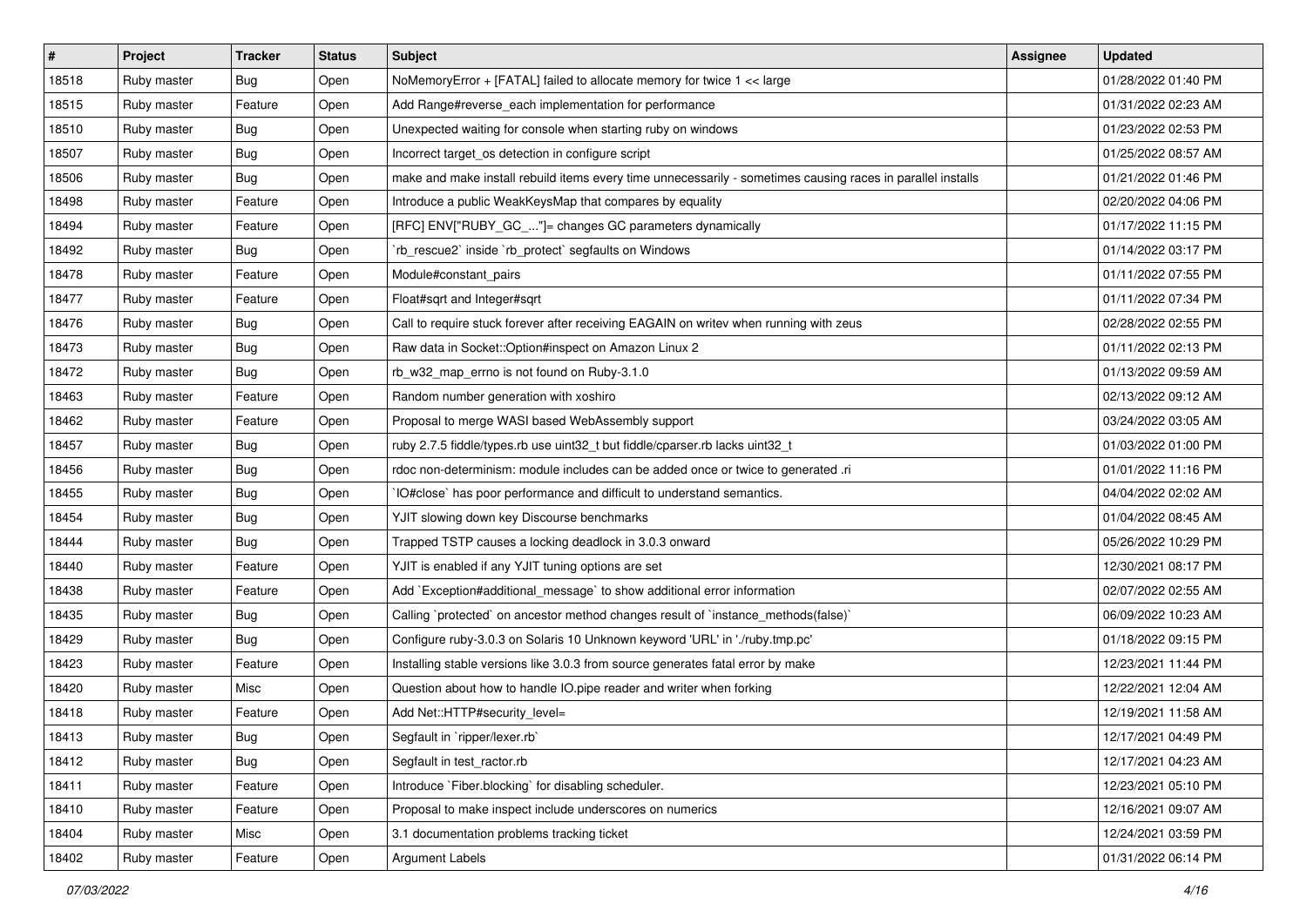| #     | Project     | <b>Tracker</b> | <b>Status</b> | <b>Subject</b>                                                                                              | <b>Assignee</b> | <b>Updated</b>      |
|-------|-------------|----------------|---------------|-------------------------------------------------------------------------------------------------------------|-----------------|---------------------|
| 18518 | Ruby master | <b>Bug</b>     | Open          | NoMemoryError + [FATAL] failed to allocate memory for twice 1 << large                                      |                 | 01/28/2022 01:40 PM |
| 18515 | Ruby master | Feature        | Open          | Add Range#reverse_each implementation for performance                                                       |                 | 01/31/2022 02:23 AM |
| 18510 | Ruby master | <b>Bug</b>     | Open          | Unexpected waiting for console when starting ruby on windows                                                |                 | 01/23/2022 02:53 PM |
| 18507 | Ruby master | Bug            | Open          | Incorrect target_os detection in configure script                                                           |                 | 01/25/2022 08:57 AM |
| 18506 | Ruby master | <b>Bug</b>     | Open          | make and make install rebuild items every time unnecessarily - sometimes causing races in parallel installs |                 | 01/21/2022 01:46 PM |
| 18498 | Ruby master | Feature        | Open          | Introduce a public WeakKeysMap that compares by equality                                                    |                 | 02/20/2022 04:06 PM |
| 18494 | Ruby master | Feature        | Open          | [RFC] ENV["RUBY_GC_"]= changes GC parameters dynamically                                                    |                 | 01/17/2022 11:15 PM |
| 18492 | Ruby master | Bug            | Open          | `rb_rescue2` inside `rb_protect` segfaults on Windows                                                       |                 | 01/14/2022 03:17 PM |
| 18478 | Ruby master | Feature        | Open          | Module#constant_pairs                                                                                       |                 | 01/11/2022 07:55 PM |
| 18477 | Ruby master | Feature        | Open          | Float#sqrt and Integer#sqrt                                                                                 |                 | 01/11/2022 07:34 PM |
| 18476 | Ruby master | Bug            | Open          | Call to require stuck forever after receiving EAGAIN on writev when running with zeus                       |                 | 02/28/2022 02:55 PM |
| 18473 | Ruby master | Bug            | Open          | Raw data in Socket:: Option#inspect on Amazon Linux 2                                                       |                 | 01/11/2022 02:13 PM |
| 18472 | Ruby master | <b>Bug</b>     | Open          | rb_w32_map_errno is not found on Ruby-3.1.0                                                                 |                 | 01/13/2022 09:59 AM |
| 18463 | Ruby master | Feature        | Open          | Random number generation with xoshiro                                                                       |                 | 02/13/2022 09:12 AM |
| 18462 | Ruby master | Feature        | Open          | Proposal to merge WASI based WebAssembly support                                                            |                 | 03/24/2022 03:05 AM |
| 18457 | Ruby master | Bug            | Open          | ruby 2.7.5 fiddle/types.rb use uint32_t but fiddle/cparser.rb lacks uint32_t                                |                 | 01/03/2022 01:00 PM |
| 18456 | Ruby master | Bug            | Open          | rdoc non-determinism: module includes can be added once or twice to generated .ri                           |                 | 01/01/2022 11:16 PM |
| 18455 | Ruby master | <b>Bug</b>     | Open          | IO#close` has poor performance and difficult to understand semantics.                                       |                 | 04/04/2022 02:02 AM |
| 18454 | Ruby master | Bug            | Open          | YJIT slowing down key Discourse benchmarks                                                                  |                 | 01/04/2022 08:45 AM |
| 18444 | Ruby master | <b>Bug</b>     | Open          | Trapped TSTP causes a locking deadlock in 3.0.3 onward                                                      |                 | 05/26/2022 10:29 PM |
| 18440 | Ruby master | Feature        | Open          | YJIT is enabled if any YJIT tuning options are set                                                          |                 | 12/30/2021 08:17 PM |
| 18438 | Ruby master | Feature        | Open          | Add `Exception#additional_message` to show additional error information                                     |                 | 02/07/2022 02:55 AM |
| 18435 | Ruby master | <b>Bug</b>     | Open          | Calling `protected` on ancestor method changes result of `instance_methods(false)`                          |                 | 06/09/2022 10:23 AM |
| 18429 | Ruby master | Bug            | Open          | Configure ruby-3.0.3 on Solaris 10 Unknown keyword 'URL' in './ruby.tmp.pc'                                 |                 | 01/18/2022 09:15 PM |
| 18423 | Ruby master | Feature        | Open          | Installing stable versions like 3.0.3 from source generates fatal error by make                             |                 | 12/23/2021 11:44 PM |
| 18420 | Ruby master | Misc           | Open          | Question about how to handle IO.pipe reader and writer when forking                                         |                 | 12/22/2021 12:04 AM |
| 18418 | Ruby master | Feature        | Open          | Add Net::HTTP#security_level=                                                                               |                 | 12/19/2021 11:58 AM |
| 18413 | Ruby master | <b>Bug</b>     | Open          | Segfault in `ripper/lexer.rb`                                                                               |                 | 12/17/2021 04:49 PM |
| 18412 | Ruby master | Bug            | Open          | Segfault in test ractor.rb                                                                                  |                 | 12/17/2021 04:23 AM |
| 18411 | Ruby master | Feature        | Open          | Introduce `Fiber.blocking` for disabling scheduler.                                                         |                 | 12/23/2021 05:10 PM |
| 18410 | Ruby master | Feature        | Open          | Proposal to make inspect include underscores on numerics                                                    |                 | 12/16/2021 09:07 AM |
| 18404 | Ruby master | Misc           | Open          | 3.1 documentation problems tracking ticket                                                                  |                 | 12/24/2021 03:59 PM |
| 18402 | Ruby master | Feature        | Open          | <b>Argument Labels</b>                                                                                      |                 | 01/31/2022 06:14 PM |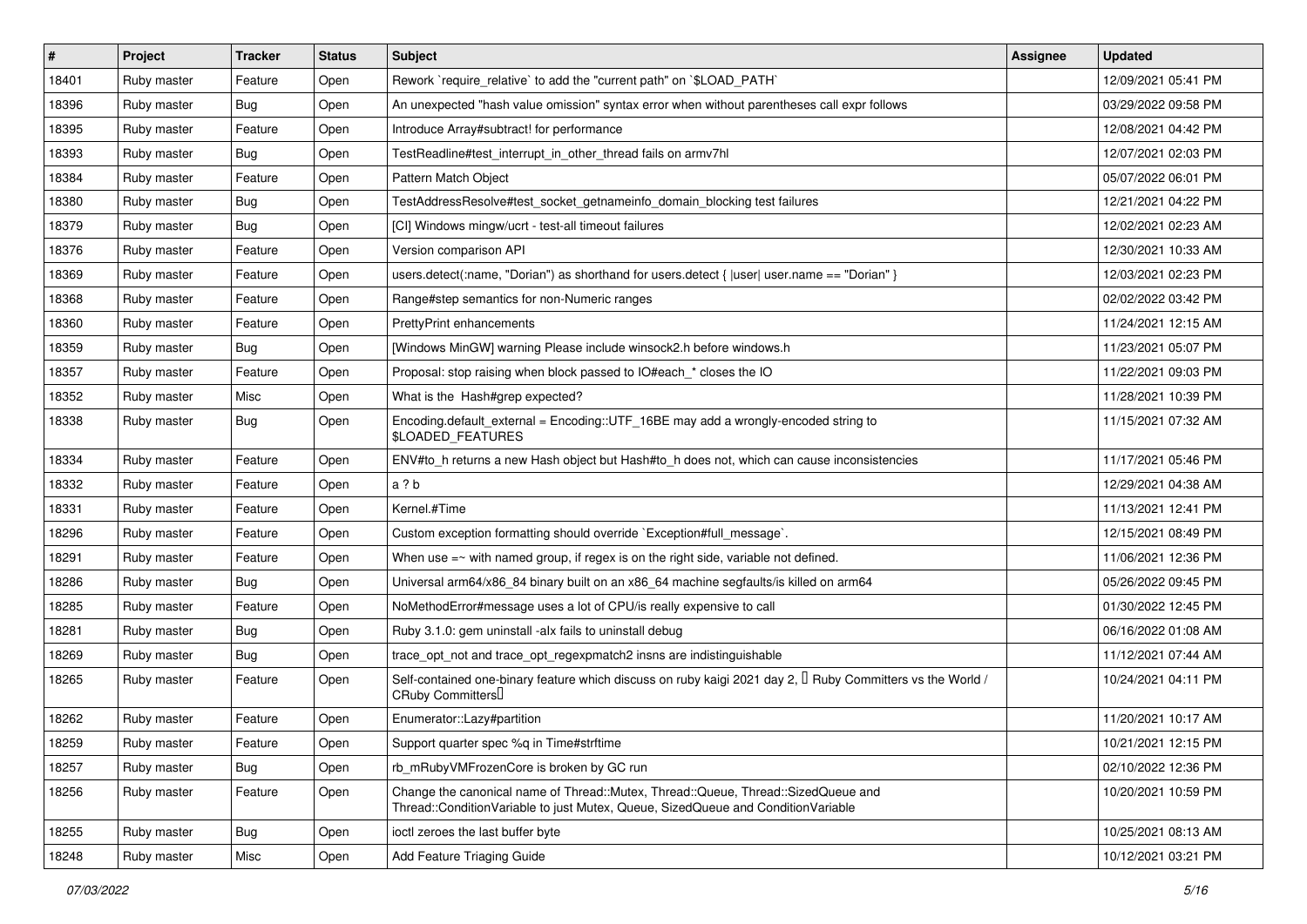| $\vert$ # | Project     | <b>Tracker</b> | <b>Status</b> | Subject                                                                                                                                                               | <b>Assignee</b> | <b>Updated</b>      |
|-----------|-------------|----------------|---------------|-----------------------------------------------------------------------------------------------------------------------------------------------------------------------|-----------------|---------------------|
| 18401     | Ruby master | Feature        | Open          | Rework `require relative` to add the "current path" on `\$LOAD PATH`                                                                                                  |                 | 12/09/2021 05:41 PM |
| 18396     | Ruby master | <b>Bug</b>     | Open          | An unexpected "hash value omission" syntax error when without parentheses call expr follows                                                                           |                 | 03/29/2022 09:58 PM |
| 18395     | Ruby master | Feature        | Open          | Introduce Array#subtract! for performance                                                                                                                             |                 | 12/08/2021 04:42 PM |
| 18393     | Ruby master | <b>Bug</b>     | Open          | TestReadline#test_interrupt_in_other_thread fails on armv7hl                                                                                                          |                 | 12/07/2021 02:03 PM |
| 18384     | Ruby master | Feature        | Open          | Pattern Match Object                                                                                                                                                  |                 | 05/07/2022 06:01 PM |
| 18380     | Ruby master | <b>Bug</b>     | Open          | TestAddressResolve#test_socket_getnameinfo_domain_blocking test failures                                                                                              |                 | 12/21/2021 04:22 PM |
| 18379     | Ruby master | Bug            | Open          | [CI] Windows mingw/ucrt - test-all timeout failures                                                                                                                   |                 | 12/02/2021 02:23 AM |
| 18376     | Ruby master | Feature        | Open          | Version comparison API                                                                                                                                                |                 | 12/30/2021 10:33 AM |
| 18369     | Ruby master | Feature        | Open          | users.detect(:name, "Dorian") as shorthand for users.detect {  user  user.name == "Dorian" }                                                                          |                 | 12/03/2021 02:23 PM |
| 18368     | Ruby master | Feature        | Open          | Range#step semantics for non-Numeric ranges                                                                                                                           |                 | 02/02/2022 03:42 PM |
| 18360     | Ruby master | Feature        | Open          | PrettyPrint enhancements                                                                                                                                              |                 | 11/24/2021 12:15 AM |
| 18359     | Ruby master | <b>Bug</b>     | Open          | [Windows MinGW] warning Please include winsock2.h before windows.h                                                                                                    |                 | 11/23/2021 05:07 PM |
| 18357     | Ruby master | Feature        | Open          | Proposal: stop raising when block passed to IO#each_* closes the IO                                                                                                   |                 | 11/22/2021 09:03 PM |
| 18352     | Ruby master | Misc           | Open          | What is the Hash#grep expected?                                                                                                                                       |                 | 11/28/2021 10:39 PM |
| 18338     | Ruby master | <b>Bug</b>     | Open          | Encoding.default_external = Encoding::UTF_16BE may add a wrongly-encoded string to<br>\$LOADED_FEATURES                                                               |                 | 11/15/2021 07:32 AM |
| 18334     | Ruby master | Feature        | Open          | ENV#to_h returns a new Hash object but Hash#to_h does not, which can cause inconsistencies                                                                            |                 | 11/17/2021 05:46 PM |
| 18332     | Ruby master | Feature        | Open          | a ? b                                                                                                                                                                 |                 | 12/29/2021 04:38 AM |
| 18331     | Ruby master | Feature        | Open          | Kernel.#Time                                                                                                                                                          |                 | 11/13/2021 12:41 PM |
| 18296     | Ruby master | Feature        | Open          | Custom exception formatting should override `Exception#full_message`.                                                                                                 |                 | 12/15/2021 08:49 PM |
| 18291     | Ruby master | Feature        | Open          | When use $=$ with named group, if regex is on the right side, variable not defined.                                                                                   |                 | 11/06/2021 12:36 PM |
| 18286     | Ruby master | <b>Bug</b>     | Open          | Universal arm64/x86_84 binary built on an x86_64 machine segfaults/is killed on arm64                                                                                 |                 | 05/26/2022 09:45 PM |
| 18285     | Ruby master | Feature        | Open          | NoMethodError#message uses a lot of CPU/is really expensive to call                                                                                                   |                 | 01/30/2022 12:45 PM |
| 18281     | Ruby master | <b>Bug</b>     | Open          | Ruby 3.1.0: gem uninstall -alx fails to uninstall debug                                                                                                               |                 | 06/16/2022 01:08 AM |
| 18269     | Ruby master | Bug            | Open          | trace_opt_not and trace_opt_regexpmatch2 insns are indistinguishable                                                                                                  |                 | 11/12/2021 07:44 AM |
| 18265     | Ruby master | Feature        | Open          | Self-contained one-binary feature which discuss on ruby kaigi 2021 day 2, $\Box$ Ruby Committers vs the World /<br>CRuby Committers                                   |                 | 10/24/2021 04:11 PM |
| 18262     | Ruby master | Feature        | Open          | Enumerator::Lazy#partition                                                                                                                                            |                 | 11/20/2021 10:17 AM |
| 18259     | Ruby master | Feature        | Open          | Support quarter spec %q in Time#strftime                                                                                                                              |                 | 10/21/2021 12:15 PM |
| 18257     | Ruby master | Bug            | Open          | rb_mRubyVMFrozenCore is broken by GC run                                                                                                                              |                 | 02/10/2022 12:36 PM |
| 18256     | Ruby master | Feature        | Open          | Change the canonical name of Thread::Mutex, Thread::Queue, Thread::SizedQueue and<br>Thread::ConditionVariable to just Mutex, Queue, SizedQueue and ConditionVariable |                 | 10/20/2021 10:59 PM |
| 18255     | Ruby master | Bug            | Open          | ioctl zeroes the last buffer byte                                                                                                                                     |                 | 10/25/2021 08:13 AM |
| 18248     | Ruby master | Misc           | Open          | Add Feature Triaging Guide                                                                                                                                            |                 | 10/12/2021 03:21 PM |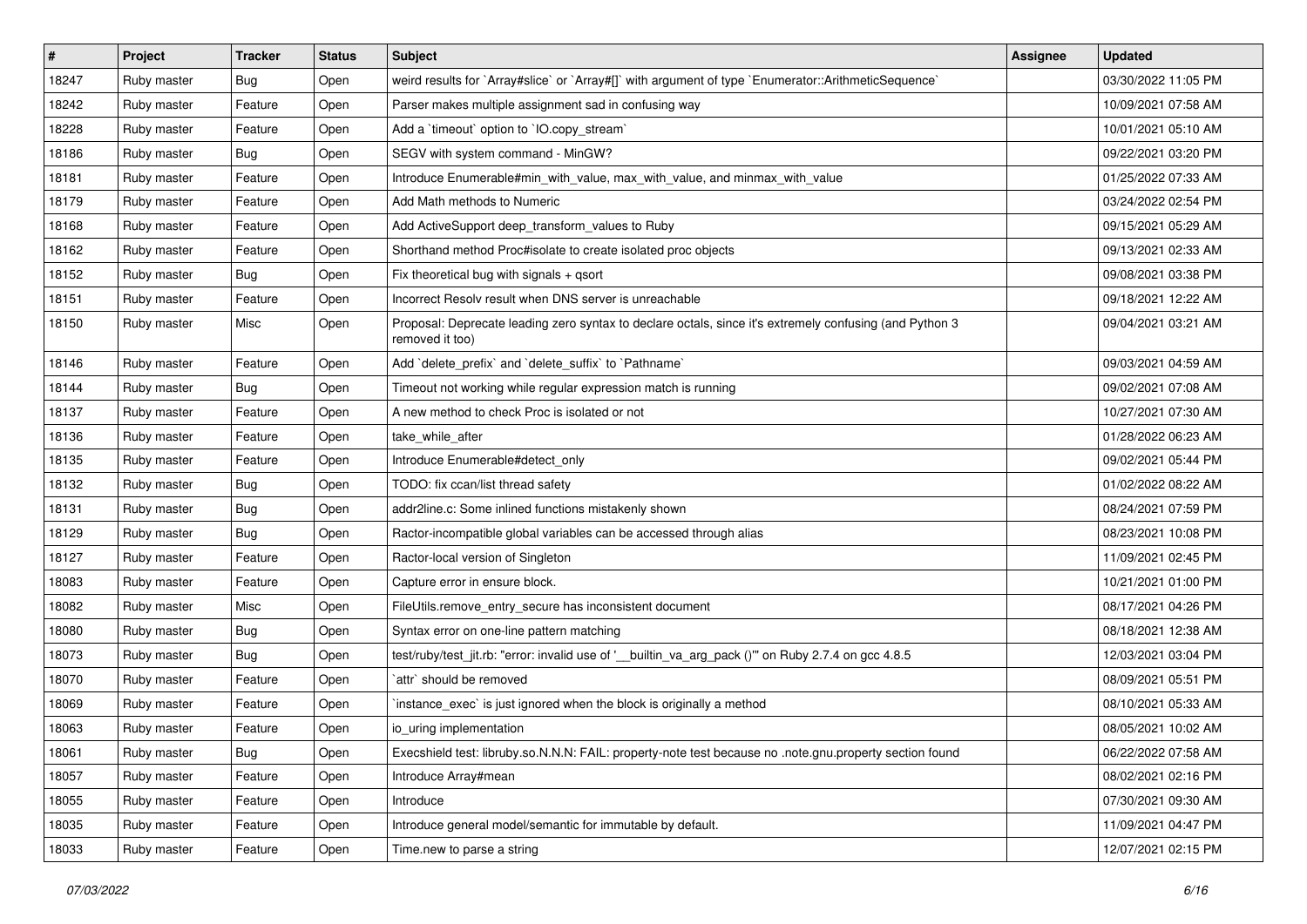| $\vert$ # | Project     | <b>Tracker</b> | <b>Status</b> | <b>Subject</b>                                                                                                             | Assignee | <b>Updated</b>      |
|-----------|-------------|----------------|---------------|----------------------------------------------------------------------------------------------------------------------------|----------|---------------------|
| 18247     | Ruby master | <b>Bug</b>     | Open          | weird results for `Array#slice` or `Array#[]` with argument of type `Enumerator::ArithmeticSequence`                       |          | 03/30/2022 11:05 PM |
| 18242     | Ruby master | Feature        | Open          | Parser makes multiple assignment sad in confusing way                                                                      |          | 10/09/2021 07:58 AM |
| 18228     | Ruby master | Feature        | Open          | Add a 'timeout' option to 'IO.copy_stream'                                                                                 |          | 10/01/2021 05:10 AM |
| 18186     | Ruby master | Bug            | Open          | SEGV with system command - MinGW?                                                                                          |          | 09/22/2021 03:20 PM |
| 18181     | Ruby master | Feature        | Open          | Introduce Enumerable#min_with_value, max_with_value, and minmax_with_value                                                 |          | 01/25/2022 07:33 AM |
| 18179     | Ruby master | Feature        | Open          | Add Math methods to Numeric                                                                                                |          | 03/24/2022 02:54 PM |
| 18168     | Ruby master | Feature        | Open          | Add ActiveSupport deep_transform_values to Ruby                                                                            |          | 09/15/2021 05:29 AM |
| 18162     | Ruby master | Feature        | Open          | Shorthand method Proc#isolate to create isolated proc objects                                                              |          | 09/13/2021 02:33 AM |
| 18152     | Ruby master | <b>Bug</b>     | Open          | Fix theoretical bug with signals + qsort                                                                                   |          | 09/08/2021 03:38 PM |
| 18151     | Ruby master | Feature        | Open          | Incorrect Resolv result when DNS server is unreachable                                                                     |          | 09/18/2021 12:22 AM |
| 18150     | Ruby master | Misc           | Open          | Proposal: Deprecate leading zero syntax to declare octals, since it's extremely confusing (and Python 3<br>removed it too) |          | 09/04/2021 03:21 AM |
| 18146     | Ruby master | Feature        | Open          | Add 'delete_prefix' and 'delete_suffix' to 'Pathname'                                                                      |          | 09/03/2021 04:59 AM |
| 18144     | Ruby master | <b>Bug</b>     | Open          | Timeout not working while regular expression match is running                                                              |          | 09/02/2021 07:08 AM |
| 18137     | Ruby master | Feature        | Open          | A new method to check Proc is isolated or not                                                                              |          | 10/27/2021 07:30 AM |
| 18136     | Ruby master | Feature        | Open          | take while after                                                                                                           |          | 01/28/2022 06:23 AM |
| 18135     | Ruby master | Feature        | Open          | Introduce Enumerable#detect_only                                                                                           |          | 09/02/2021 05:44 PM |
| 18132     | Ruby master | Bug            | Open          | TODO: fix ccan/list thread safety                                                                                          |          | 01/02/2022 08:22 AM |
| 18131     | Ruby master | <b>Bug</b>     | Open          | addr2line.c: Some inlined functions mistakenly shown                                                                       |          | 08/24/2021 07:59 PM |
| 18129     | Ruby master | Bug            | Open          | Ractor-incompatible global variables can be accessed through alias                                                         |          | 08/23/2021 10:08 PM |
| 18127     | Ruby master | Feature        | Open          | Ractor-local version of Singleton                                                                                          |          | 11/09/2021 02:45 PM |
| 18083     | Ruby master | Feature        | Open          | Capture error in ensure block.                                                                                             |          | 10/21/2021 01:00 PM |
| 18082     | Ruby master | Misc           | Open          | FileUtils.remove_entry_secure has inconsistent document                                                                    |          | 08/17/2021 04:26 PM |
| 18080     | Ruby master | Bug            | Open          | Syntax error on one-line pattern matching                                                                                  |          | 08/18/2021 12:38 AM |
| 18073     | Ruby master | <b>Bug</b>     | Open          | test/ruby/test_jit.rb: "error: invalid use of '__builtin_va_arg_pack ()"" on Ruby 2.7.4 on gcc 4.8.5                       |          | 12/03/2021 03:04 PM |
| 18070     | Ruby master | Feature        | Open          | `attr` should be removed                                                                                                   |          | 08/09/2021 05:51 PM |
| 18069     | Ruby master | Feature        | Open          | instance_exec` is just ignored when the block is originally a method                                                       |          | 08/10/2021 05:33 AM |
| 18063     | Ruby master | Feature        | Open          | io_uring implementation                                                                                                    |          | 08/05/2021 10:02 AM |
| 18061     | Ruby master | Bug            | Open          | Execshield test: libruby.so.N.N.N: FAIL: property-note test because no .note.gnu.property section found                    |          | 06/22/2022 07:58 AM |
| 18057     | Ruby master | Feature        | Open          | Introduce Array#mean                                                                                                       |          | 08/02/2021 02:16 PM |
| 18055     | Ruby master | Feature        | Open          | Introduce                                                                                                                  |          | 07/30/2021 09:30 AM |
| 18035     | Ruby master | Feature        | Open          | Introduce general model/semantic for immutable by default.                                                                 |          | 11/09/2021 04:47 PM |
| 18033     | Ruby master | Feature        | Open          | Time.new to parse a string                                                                                                 |          | 12/07/2021 02:15 PM |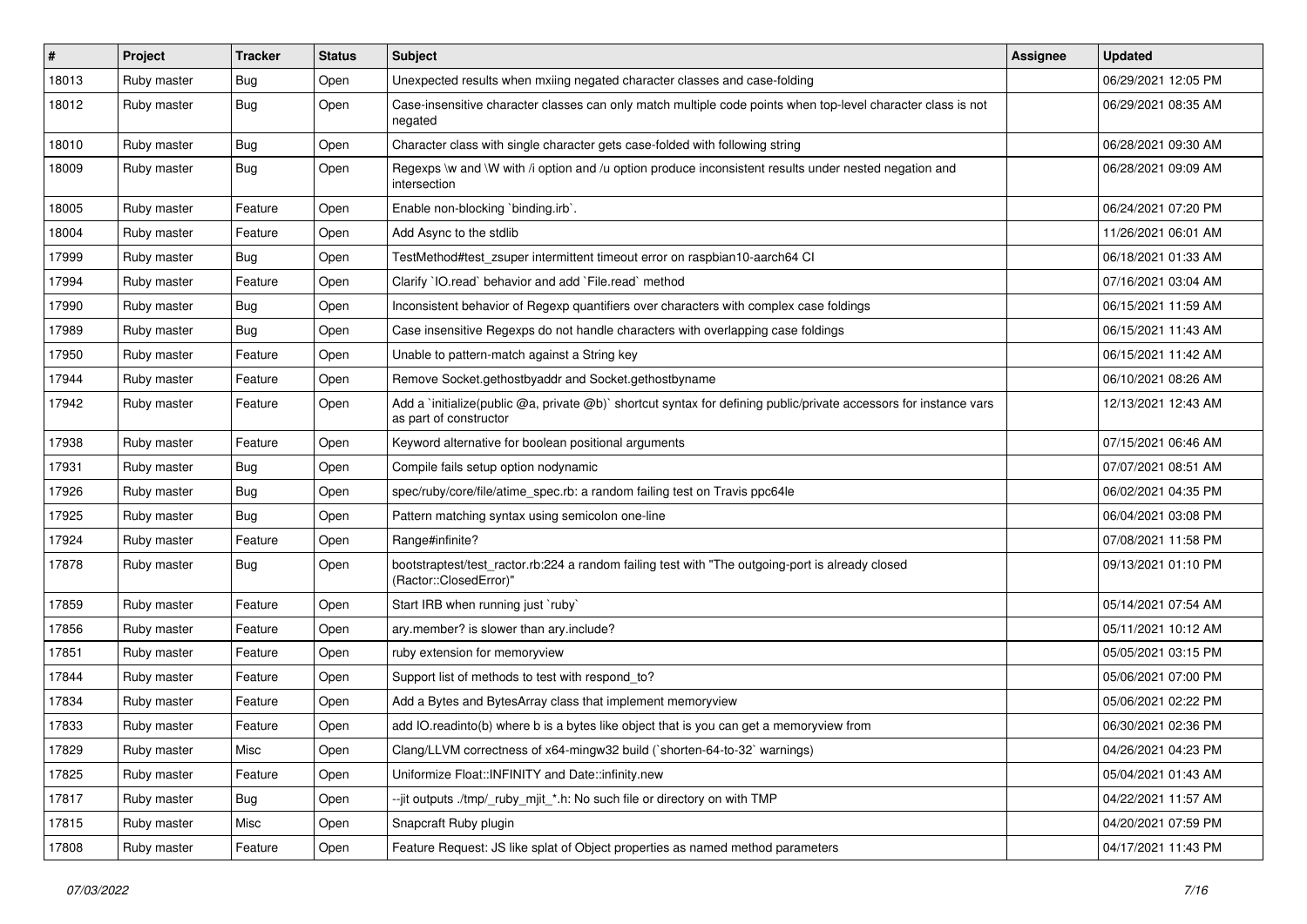| $\vert$ # | Project     | <b>Tracker</b> | <b>Status</b> | Subject                                                                                                                                     | <b>Assignee</b> | <b>Updated</b>      |
|-----------|-------------|----------------|---------------|---------------------------------------------------------------------------------------------------------------------------------------------|-----------------|---------------------|
| 18013     | Ruby master | <b>Bug</b>     | Open          | Unexpected results when mxiing negated character classes and case-folding                                                                   |                 | 06/29/2021 12:05 PM |
| 18012     | Ruby master | Bug            | Open          | Case-insensitive character classes can only match multiple code points when top-level character class is not<br>negated                     |                 | 06/29/2021 08:35 AM |
| 18010     | Ruby master | Bug            | Open          | Character class with single character gets case-folded with following string                                                                |                 | 06/28/2021 09:30 AM |
| 18009     | Ruby master | <b>Bug</b>     | Open          | Regexps \w and \W with /i option and /u option produce inconsistent results under nested negation and<br>intersection                       |                 | 06/28/2021 09:09 AM |
| 18005     | Ruby master | Feature        | Open          | Enable non-blocking `binding.irb`.                                                                                                          |                 | 06/24/2021 07:20 PM |
| 18004     | Ruby master | Feature        | Open          | Add Async to the stdlib                                                                                                                     |                 | 11/26/2021 06:01 AM |
| 17999     | Ruby master | <b>Bug</b>     | Open          | TestMethod#test_zsuper intermittent timeout error on raspbian10-aarch64 Cl                                                                  |                 | 06/18/2021 01:33 AM |
| 17994     | Ruby master | Feature        | Open          | Clarify `IO.read` behavior and add `File.read` method                                                                                       |                 | 07/16/2021 03:04 AM |
| 17990     | Ruby master | <b>Bug</b>     | Open          | Inconsistent behavior of Regexp quantifiers over characters with complex case foldings                                                      |                 | 06/15/2021 11:59 AM |
| 17989     | Ruby master | <b>Bug</b>     | Open          | Case insensitive Regexps do not handle characters with overlapping case foldings                                                            |                 | 06/15/2021 11:43 AM |
| 17950     | Ruby master | Feature        | Open          | Unable to pattern-match against a String key                                                                                                |                 | 06/15/2021 11:42 AM |
| 17944     | Ruby master | Feature        | Open          | Remove Socket.gethostbyaddr and Socket.gethostbyname                                                                                        |                 | 06/10/2021 08:26 AM |
| 17942     | Ruby master | Feature        | Open          | Add a 'initialize(public @a, private @b)' shortcut syntax for defining public/private accessors for instance vars<br>as part of constructor |                 | 12/13/2021 12:43 AM |
| 17938     | Ruby master | Feature        | Open          | Keyword alternative for boolean positional arguments                                                                                        |                 | 07/15/2021 06:46 AM |
| 17931     | Ruby master | Bug            | Open          | Compile fails setup option nodynamic                                                                                                        |                 | 07/07/2021 08:51 AM |
| 17926     | Ruby master | <b>Bug</b>     | Open          | spec/ruby/core/file/atime_spec.rb: a random failing test on Travis ppc64le                                                                  |                 | 06/02/2021 04:35 PM |
| 17925     | Ruby master | Bug            | Open          | Pattern matching syntax using semicolon one-line                                                                                            |                 | 06/04/2021 03:08 PM |
| 17924     | Ruby master | Feature        | Open          | Range#infinite?                                                                                                                             |                 | 07/08/2021 11:58 PM |
| 17878     | Ruby master | <b>Bug</b>     | Open          | bootstraptest/test_ractor.rb:224 a random failing test with "The outgoing-port is already closed<br>(Ractor::ClosedError)"                  |                 | 09/13/2021 01:10 PM |
| 17859     | Ruby master | Feature        | Open          | Start IRB when running just `ruby`                                                                                                          |                 | 05/14/2021 07:54 AM |
| 17856     | Ruby master | Feature        | Open          | ary.member? is slower than ary.include?                                                                                                     |                 | 05/11/2021 10:12 AM |
| 17851     | Ruby master | Feature        | Open          | ruby extension for memoryview                                                                                                               |                 | 05/05/2021 03:15 PM |
| 17844     | Ruby master | Feature        | Open          | Support list of methods to test with respond to?                                                                                            |                 | 05/06/2021 07:00 PM |
| 17834     | Ruby master | Feature        | Open          | Add a Bytes and BytesArray class that implement memoryview                                                                                  |                 | 05/06/2021 02:22 PM |
| 17833     | Ruby master | Feature        | Open          | add IO.readinto(b) where b is a bytes like object that is you can get a memoryview from                                                     |                 | 06/30/2021 02:36 PM |
| 17829     | Ruby master | Misc           | Open          | Clang/LLVM correctness of x64-mingw32 build (`shorten-64-to-32` warnings)                                                                   |                 | 04/26/2021 04:23 PM |
| 17825     | Ruby master | Feature        | Open          | Uniformize Float::INFINITY and Date::infinity.new                                                                                           |                 | 05/04/2021 01:43 AM |
| 17817     | Ruby master | <b>Bug</b>     | Open          | --jit outputs ./tmp/_ruby_mjit_*.h: No such file or directory on with TMP                                                                   |                 | 04/22/2021 11:57 AM |
| 17815     | Ruby master | Misc           | Open          | Snapcraft Ruby plugin                                                                                                                       |                 | 04/20/2021 07:59 PM |
| 17808     | Ruby master | Feature        | Open          | Feature Request: JS like splat of Object properties as named method parameters                                                              |                 | 04/17/2021 11:43 PM |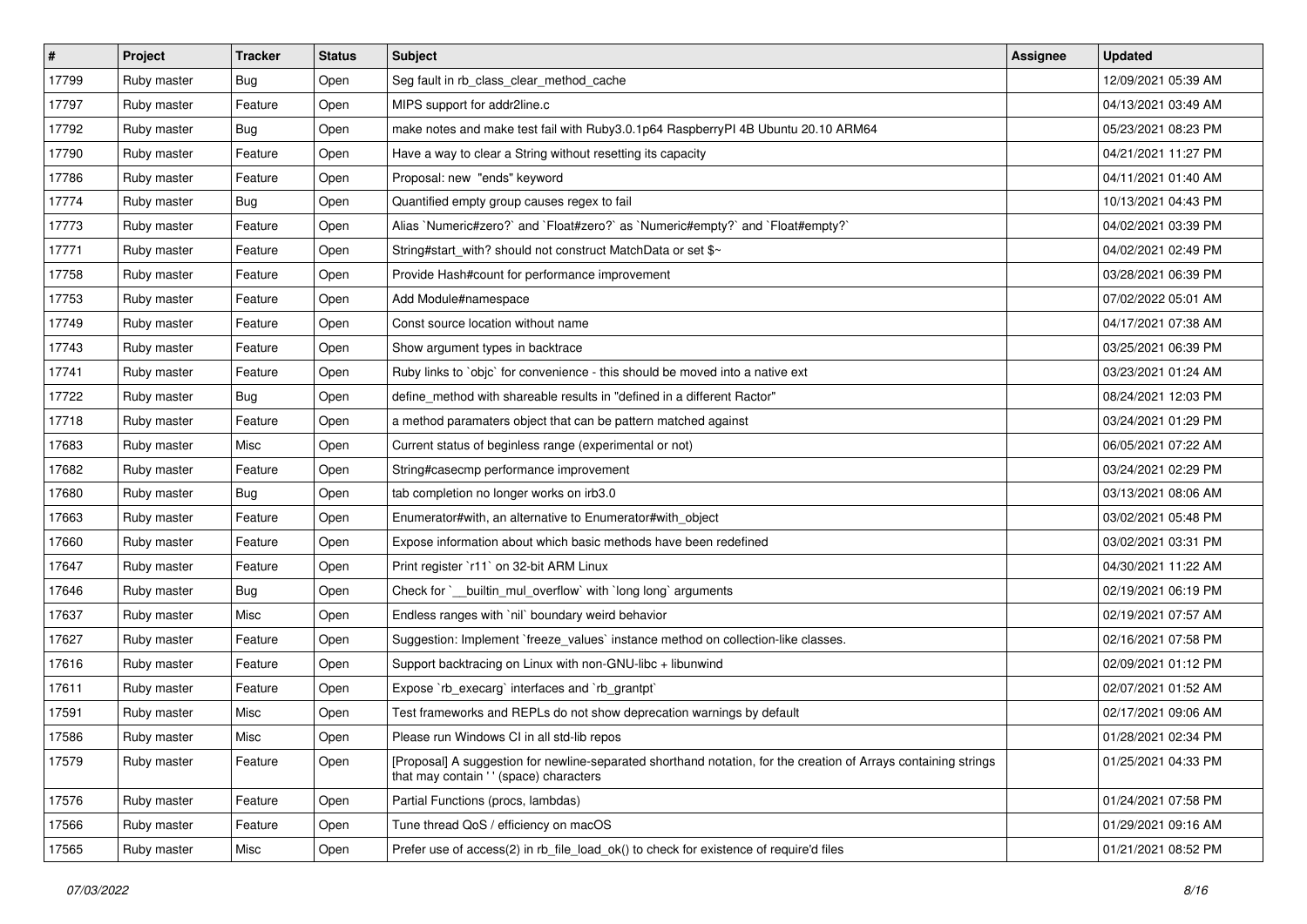| #     | Project     | <b>Tracker</b> | <b>Status</b> | Subject                                                                                                                                                   | Assignee | <b>Updated</b>      |
|-------|-------------|----------------|---------------|-----------------------------------------------------------------------------------------------------------------------------------------------------------|----------|---------------------|
| 17799 | Ruby master | <b>Bug</b>     | Open          | Seg fault in rb_class_clear_method_cache                                                                                                                  |          | 12/09/2021 05:39 AM |
| 17797 | Ruby master | Feature        | Open          | MIPS support for addr2line.c                                                                                                                              |          | 04/13/2021 03:49 AM |
| 17792 | Ruby master | <b>Bug</b>     | Open          | make notes and make test fail with Ruby 3.0.1p64 Raspberry PI 4B Ubuntu 20.10 ARM64                                                                       |          | 05/23/2021 08:23 PM |
| 17790 | Ruby master | Feature        | Open          | Have a way to clear a String without resetting its capacity                                                                                               |          | 04/21/2021 11:27 PM |
| 17786 | Ruby master | Feature        | Open          | Proposal: new "ends" keyword                                                                                                                              |          | 04/11/2021 01:40 AM |
| 17774 | Ruby master | <b>Bug</b>     | Open          | Quantified empty group causes regex to fail                                                                                                               |          | 10/13/2021 04:43 PM |
| 17773 | Ruby master | Feature        | Open          | Alias `Numeric#zero?` and `Float#zero?` as `Numeric#empty?` and `Float#empty?`                                                                            |          | 04/02/2021 03:39 PM |
| 17771 | Ruby master | Feature        | Open          | String#start_with? should not construct MatchData or set \$~                                                                                              |          | 04/02/2021 02:49 PM |
| 17758 | Ruby master | Feature        | Open          | Provide Hash#count for performance improvement                                                                                                            |          | 03/28/2021 06:39 PM |
| 17753 | Ruby master | Feature        | Open          | Add Module#namespace                                                                                                                                      |          | 07/02/2022 05:01 AM |
| 17749 | Ruby master | Feature        | Open          | Const source location without name                                                                                                                        |          | 04/17/2021 07:38 AM |
| 17743 | Ruby master | Feature        | Open          | Show argument types in backtrace                                                                                                                          |          | 03/25/2021 06:39 PM |
| 17741 | Ruby master | Feature        | Open          | Ruby links to `objc` for convenience - this should be moved into a native ext                                                                             |          | 03/23/2021 01:24 AM |
| 17722 | Ruby master | <b>Bug</b>     | Open          | define_method with shareable results in "defined in a different Ractor"                                                                                   |          | 08/24/2021 12:03 PM |
| 17718 | Ruby master | Feature        | Open          | a method paramaters object that can be pattern matched against                                                                                            |          | 03/24/2021 01:29 PM |
| 17683 | Ruby master | Misc           | Open          | Current status of beginless range (experimental or not)                                                                                                   |          | 06/05/2021 07:22 AM |
| 17682 | Ruby master | Feature        | Open          | String#casecmp performance improvement                                                                                                                    |          | 03/24/2021 02:29 PM |
| 17680 | Ruby master | Bug            | Open          | tab completion no longer works on irb3.0                                                                                                                  |          | 03/13/2021 08:06 AM |
| 17663 | Ruby master | Feature        | Open          | Enumerator#with, an alternative to Enumerator#with object                                                                                                 |          | 03/02/2021 05:48 PM |
| 17660 | Ruby master | Feature        | Open          | Expose information about which basic methods have been redefined                                                                                          |          | 03/02/2021 03:31 PM |
| 17647 | Ruby master | Feature        | Open          | Print register `r11` on 32-bit ARM Linux                                                                                                                  |          | 04/30/2021 11:22 AM |
| 17646 | Ruby master | <b>Bug</b>     | Open          | Check for `__builtin_mul_overflow` with `long long` arguments                                                                                             |          | 02/19/2021 06:19 PM |
| 17637 | Ruby master | Misc           | Open          | Endless ranges with 'nil' boundary weird behavior                                                                                                         |          | 02/19/2021 07:57 AM |
| 17627 | Ruby master | Feature        | Open          | Suggestion: Implement `freeze_values` instance method on collection-like classes.                                                                         |          | 02/16/2021 07:58 PM |
| 17616 | Ruby master | Feature        | Open          | Support backtracing on Linux with non-GNU-libc + libunwind                                                                                                |          | 02/09/2021 01:12 PM |
| 17611 | Ruby master | Feature        | Open          | Expose `rb_execarg` interfaces and `rb_grantpt`                                                                                                           |          | 02/07/2021 01:52 AM |
| 17591 | Ruby master | Misc           | Open          | Test frameworks and REPLs do not show deprecation warnings by default                                                                                     |          | 02/17/2021 09:06 AM |
| 17586 | Ruby master | Misc           | Open          | Please run Windows CI in all std-lib repos                                                                                                                |          | 01/28/2021 02:34 PM |
| 17579 | Ruby master | Feature        | Open          | [Proposal] A suggestion for newline-separated shorthand notation, for the creation of Arrays containing strings<br>that may contain '' (space) characters |          | 01/25/2021 04:33 PM |
| 17576 | Ruby master | Feature        | Open          | Partial Functions (procs, lambdas)                                                                                                                        |          | 01/24/2021 07:58 PM |
| 17566 | Ruby master | Feature        | Open          | Tune thread QoS / efficiency on macOS                                                                                                                     |          | 01/29/2021 09:16 AM |
| 17565 | Ruby master | Misc           | Open          | Prefer use of access(2) in rb file load ok() to check for existence of require'd files                                                                    |          | 01/21/2021 08:52 PM |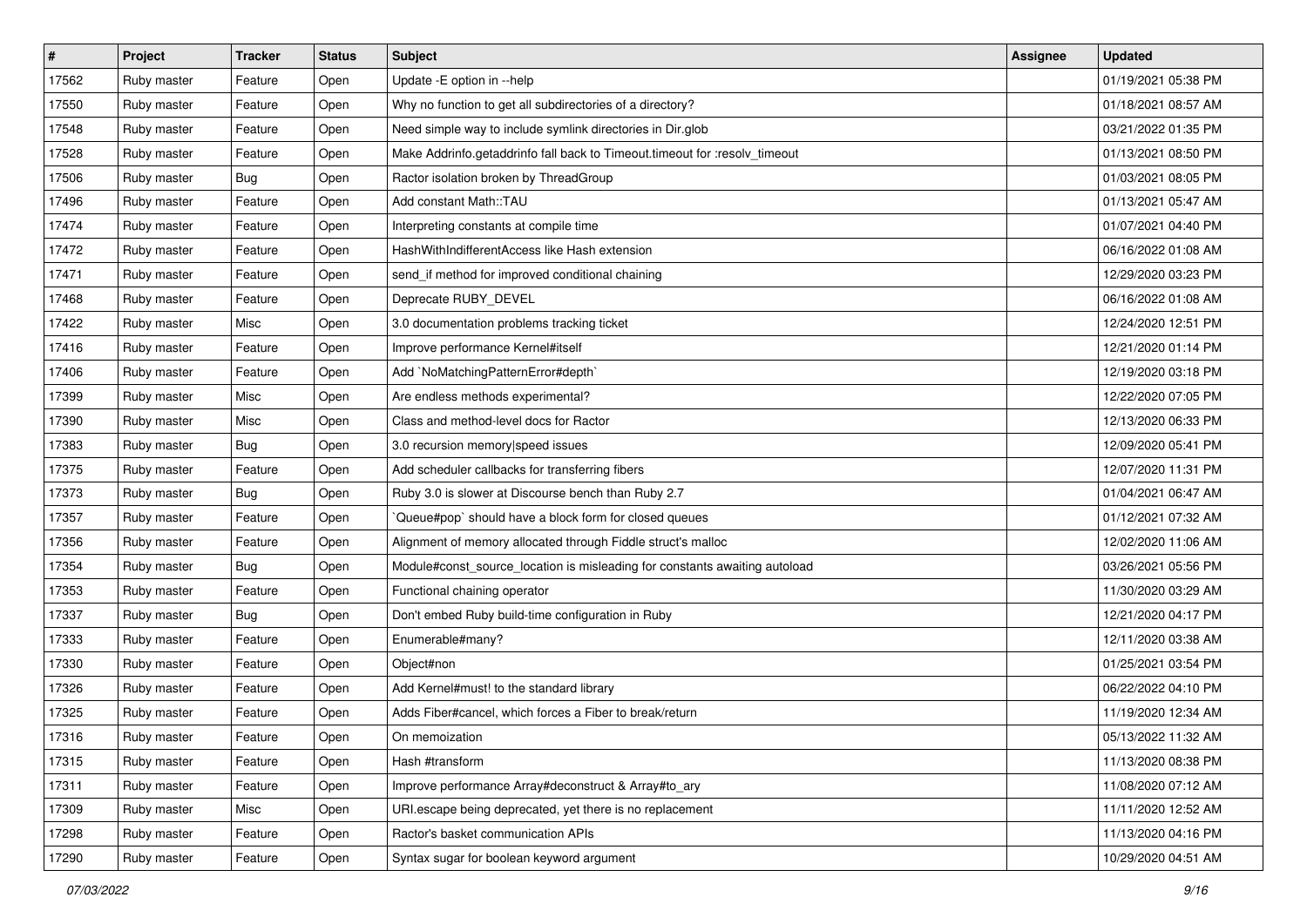| $\vert$ # | Project     | <b>Tracker</b> | <b>Status</b> | <b>Subject</b>                                                             | <b>Assignee</b> | <b>Updated</b>      |
|-----------|-------------|----------------|---------------|----------------------------------------------------------------------------|-----------------|---------------------|
| 17562     | Ruby master | Feature        | Open          | Update - E option in --help                                                |                 | 01/19/2021 05:38 PM |
| 17550     | Ruby master | Feature        | Open          | Why no function to get all subdirectories of a directory?                  |                 | 01/18/2021 08:57 AM |
| 17548     | Ruby master | Feature        | Open          | Need simple way to include symlink directories in Dir.glob                 |                 | 03/21/2022 01:35 PM |
| 17528     | Ruby master | Feature        | Open          | Make Addrinfo.getaddrinfo fall back to Timeout.timeout for :resolv_timeout |                 | 01/13/2021 08:50 PM |
| 17506     | Ruby master | Bug            | Open          | Ractor isolation broken by ThreadGroup                                     |                 | 01/03/2021 08:05 PM |
| 17496     | Ruby master | Feature        | Open          | Add constant Math::TAU                                                     |                 | 01/13/2021 05:47 AM |
| 17474     | Ruby master | Feature        | Open          | Interpreting constants at compile time                                     |                 | 01/07/2021 04:40 PM |
| 17472     | Ruby master | Feature        | Open          | HashWithIndifferentAccess like Hash extension                              |                 | 06/16/2022 01:08 AM |
| 17471     | Ruby master | Feature        | Open          | send_if method for improved conditional chaining                           |                 | 12/29/2020 03:23 PM |
| 17468     | Ruby master | Feature        | Open          | Deprecate RUBY_DEVEL                                                       |                 | 06/16/2022 01:08 AM |
| 17422     | Ruby master | Misc           | Open          | 3.0 documentation problems tracking ticket                                 |                 | 12/24/2020 12:51 PM |
| 17416     | Ruby master | Feature        | Open          | Improve performance Kernel#itself                                          |                 | 12/21/2020 01:14 PM |
| 17406     | Ruby master | Feature        | Open          | Add `NoMatchingPatternError#depth`                                         |                 | 12/19/2020 03:18 PM |
| 17399     | Ruby master | Misc           | Open          | Are endless methods experimental?                                          |                 | 12/22/2020 07:05 PM |
| 17390     | Ruby master | Misc           | Open          | Class and method-level docs for Ractor                                     |                 | 12/13/2020 06:33 PM |
| 17383     | Ruby master | Bug            | Open          | 3.0 recursion memory speed issues                                          |                 | 12/09/2020 05:41 PM |
| 17375     | Ruby master | Feature        | Open          | Add scheduler callbacks for transferring fibers                            |                 | 12/07/2020 11:31 PM |
| 17373     | Ruby master | Bug            | Open          | Ruby 3.0 is slower at Discourse bench than Ruby 2.7                        |                 | 01/04/2021 06:47 AM |
| 17357     | Ruby master | Feature        | Open          | Queue#pop`should have a block form for closed queues                       |                 | 01/12/2021 07:32 AM |
| 17356     | Ruby master | Feature        | Open          | Alignment of memory allocated through Fiddle struct's malloc               |                 | 12/02/2020 11:06 AM |
| 17354     | Ruby master | <b>Bug</b>     | Open          | Module#const_source_location is misleading for constants awaiting autoload |                 | 03/26/2021 05:56 PM |
| 17353     | Ruby master | Feature        | Open          | Functional chaining operator                                               |                 | 11/30/2020 03:29 AM |
| 17337     | Ruby master | Bug            | Open          | Don't embed Ruby build-time configuration in Ruby                          |                 | 12/21/2020 04:17 PM |
| 17333     | Ruby master | Feature        | Open          | Enumerable#many?                                                           |                 | 12/11/2020 03:38 AM |
| 17330     | Ruby master | Feature        | Open          | Object#non                                                                 |                 | 01/25/2021 03:54 PM |
| 17326     | Ruby master | Feature        | Open          | Add Kernel#must! to the standard library                                   |                 | 06/22/2022 04:10 PM |
| 17325     | Ruby master | Feature        | Open          | Adds Fiber#cancel, which forces a Fiber to break/return                    |                 | 11/19/2020 12:34 AM |
| 17316     | Ruby master | Feature        | Open          | On memoization                                                             |                 | 05/13/2022 11:32 AM |
| 17315     | Ruby master | Feature        | Open          | Hash #transform                                                            |                 | 11/13/2020 08:38 PM |
| 17311     | Ruby master | Feature        | Open          | Improve performance Array#deconstruct & Array#to_ary                       |                 | 11/08/2020 07:12 AM |
| 17309     | Ruby master | Misc           | Open          | URI.escape being deprecated, yet there is no replacement                   |                 | 11/11/2020 12:52 AM |
| 17298     | Ruby master | Feature        | Open          | Ractor's basket communication APIs                                         |                 | 11/13/2020 04:16 PM |
| 17290     | Ruby master | Feature        | Open          | Syntax sugar for boolean keyword argument                                  |                 | 10/29/2020 04:51 AM |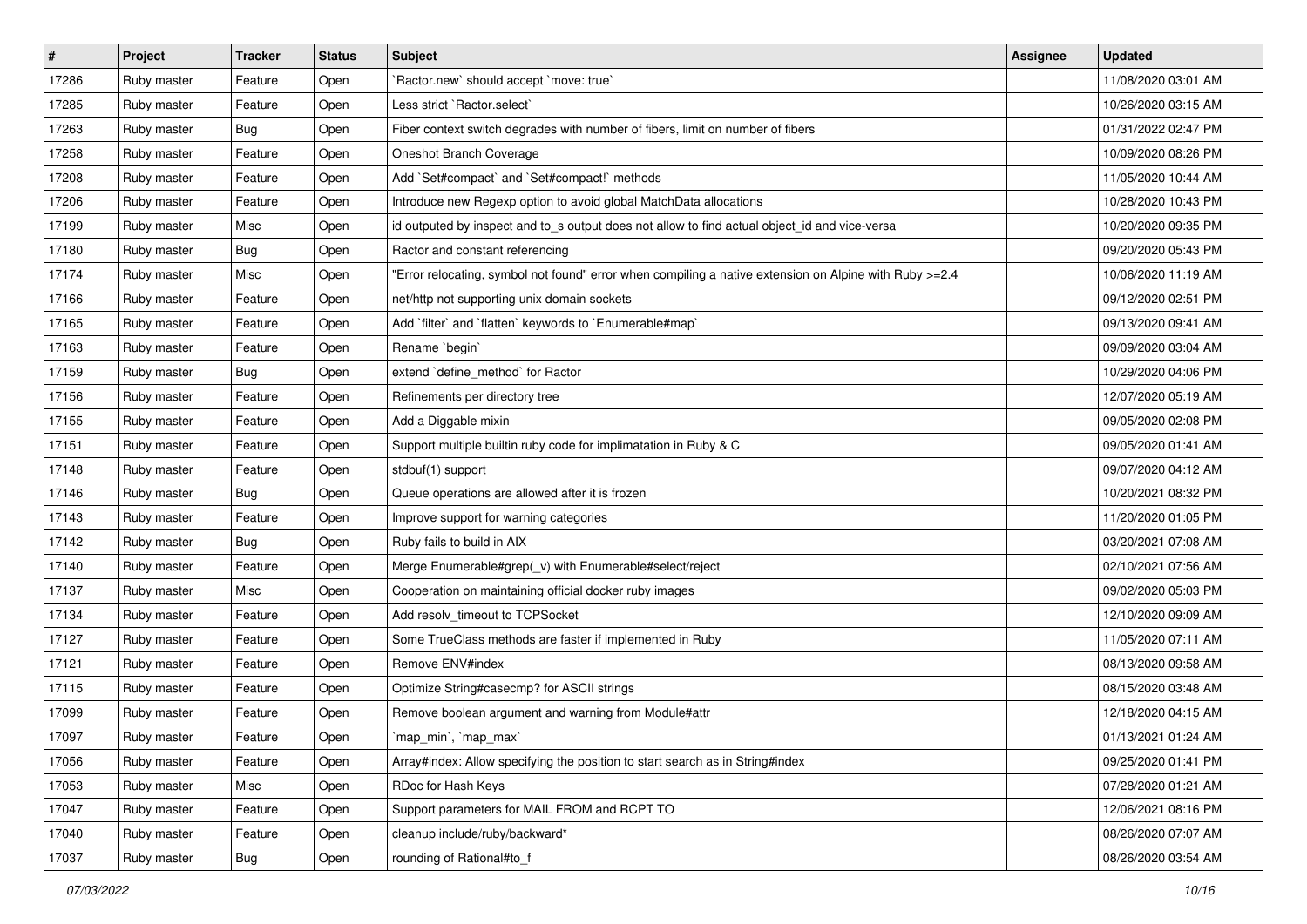| #     | Project     | <b>Tracker</b> | <b>Status</b> | <b>Subject</b>                                                                                        | Assignee | <b>Updated</b>      |
|-------|-------------|----------------|---------------|-------------------------------------------------------------------------------------------------------|----------|---------------------|
| 17286 | Ruby master | Feature        | Open          | `Ractor.new` should accept `move: true`                                                               |          | 11/08/2020 03:01 AM |
| 17285 | Ruby master | Feature        | Open          | Less strict `Ractor.select`                                                                           |          | 10/26/2020 03:15 AM |
| 17263 | Ruby master | <b>Bug</b>     | Open          | Fiber context switch degrades with number of fibers, limit on number of fibers                        |          | 01/31/2022 02:47 PM |
| 17258 | Ruby master | Feature        | Open          | Oneshot Branch Coverage                                                                               |          | 10/09/2020 08:26 PM |
| 17208 | Ruby master | Feature        | Open          | Add `Set#compact` and `Set#compact!` methods                                                          |          | 11/05/2020 10:44 AM |
| 17206 | Ruby master | Feature        | Open          | Introduce new Regexp option to avoid global MatchData allocations                                     |          | 10/28/2020 10:43 PM |
| 17199 | Ruby master | Misc           | Open          | id outputed by inspect and to_s output does not allow to find actual object_id and vice-versa         |          | 10/20/2020 09:35 PM |
| 17180 | Ruby master | <b>Bug</b>     | Open          | Ractor and constant referencing                                                                       |          | 09/20/2020 05:43 PM |
| 17174 | Ruby master | Misc           | Open          | Error relocating, symbol not found" error when compiling a native extension on Alpine with Ruby >=2.4 |          | 10/06/2020 11:19 AM |
| 17166 | Ruby master | Feature        | Open          | net/http not supporting unix domain sockets                                                           |          | 09/12/2020 02:51 PM |
| 17165 | Ruby master | Feature        | Open          | Add 'filter' and 'flatten' keywords to 'Enumerable#map'                                               |          | 09/13/2020 09:41 AM |
| 17163 | Ruby master | Feature        | Open          | Rename `begin`                                                                                        |          | 09/09/2020 03:04 AM |
| 17159 | Ruby master | <b>Bug</b>     | Open          | extend 'define_method' for Ractor                                                                     |          | 10/29/2020 04:06 PM |
| 17156 | Ruby master | Feature        | Open          | Refinements per directory tree                                                                        |          | 12/07/2020 05:19 AM |
| 17155 | Ruby master | Feature        | Open          | Add a Diggable mixin                                                                                  |          | 09/05/2020 02:08 PM |
| 17151 | Ruby master | Feature        | Open          | Support multiple builtin ruby code for implimatation in Ruby & C                                      |          | 09/05/2020 01:41 AM |
| 17148 | Ruby master | Feature        | Open          | stdbuf(1) support                                                                                     |          | 09/07/2020 04:12 AM |
| 17146 | Ruby master | Bug            | Open          | Queue operations are allowed after it is frozen                                                       |          | 10/20/2021 08:32 PM |
| 17143 | Ruby master | Feature        | Open          | Improve support for warning categories                                                                |          | 11/20/2020 01:05 PM |
| 17142 | Ruby master | <b>Bug</b>     | Open          | Ruby fails to build in AIX                                                                            |          | 03/20/2021 07:08 AM |
| 17140 | Ruby master | Feature        | Open          | Merge Enumerable#grep(_v) with Enumerable#select/reject                                               |          | 02/10/2021 07:56 AM |
| 17137 | Ruby master | Misc           | Open          | Cooperation on maintaining official docker ruby images                                                |          | 09/02/2020 05:03 PM |
| 17134 | Ruby master | Feature        | Open          | Add resolv_timeout to TCPSocket                                                                       |          | 12/10/2020 09:09 AM |
| 17127 | Ruby master | Feature        | Open          | Some TrueClass methods are faster if implemented in Ruby                                              |          | 11/05/2020 07:11 AM |
| 17121 | Ruby master | Feature        | Open          | Remove ENV#index                                                                                      |          | 08/13/2020 09:58 AM |
| 17115 | Ruby master | Feature        | Open          | Optimize String#casecmp? for ASCII strings                                                            |          | 08/15/2020 03:48 AM |
| 17099 | Ruby master | Feature        | Open          | Remove boolean argument and warning from Module#attr                                                  |          | 12/18/2020 04:15 AM |
| 17097 | Ruby master | Feature        | Open          | `map_min`, `map_max`                                                                                  |          | 01/13/2021 01:24 AM |
| 17056 | Ruby master | Feature        | Open          | Array#index: Allow specifying the position to start search as in String#index                         |          | 09/25/2020 01:41 PM |
| 17053 | Ruby master | Misc           | Open          | RDoc for Hash Keys                                                                                    |          | 07/28/2020 01:21 AM |
| 17047 | Ruby master | Feature        | Open          | Support parameters for MAIL FROM and RCPT TO                                                          |          | 12/06/2021 08:16 PM |
| 17040 | Ruby master | Feature        | Open          | cleanup include/ruby/backward*                                                                        |          | 08/26/2020 07:07 AM |
| 17037 | Ruby master | Bug            | Open          | rounding of Rational#to_f                                                                             |          | 08/26/2020 03:54 AM |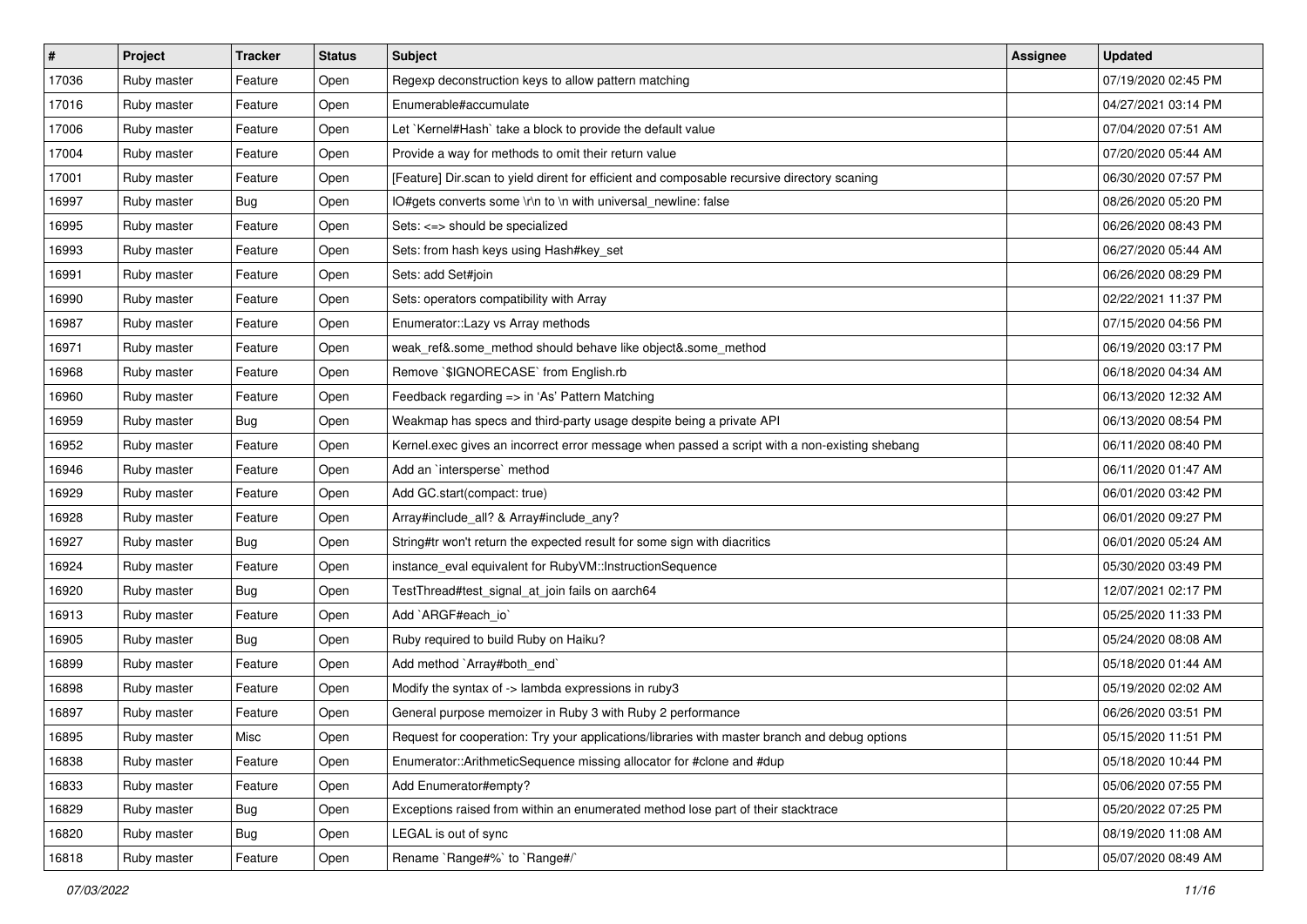| #     | Project     | <b>Tracker</b> | <b>Status</b> | <b>Subject</b>                                                                                | <b>Assignee</b> | <b>Updated</b>      |
|-------|-------------|----------------|---------------|-----------------------------------------------------------------------------------------------|-----------------|---------------------|
| 17036 | Ruby master | Feature        | Open          | Regexp deconstruction keys to allow pattern matching                                          |                 | 07/19/2020 02:45 PM |
| 17016 | Ruby master | Feature        | Open          | Enumerable#accumulate                                                                         |                 | 04/27/2021 03:14 PM |
| 17006 | Ruby master | Feature        | Open          | Let `Kernel#Hash` take a block to provide the default value                                   |                 | 07/04/2020 07:51 AM |
| 17004 | Ruby master | Feature        | Open          | Provide a way for methods to omit their return value                                          |                 | 07/20/2020 05:44 AM |
| 17001 | Ruby master | Feature        | Open          | [Feature] Dir.scan to yield dirent for efficient and composable recursive directory scaning   |                 | 06/30/2020 07:57 PM |
| 16997 | Ruby master | <b>Bug</b>     | Open          | IO#gets converts some \r\n to \n with universal_newline: false                                |                 | 08/26/2020 05:20 PM |
| 16995 | Ruby master | Feature        | Open          | Sets: <=> should be specialized                                                               |                 | 06/26/2020 08:43 PM |
| 16993 | Ruby master | Feature        | Open          | Sets: from hash keys using Hash#key_set                                                       |                 | 06/27/2020 05:44 AM |
| 16991 | Ruby master | Feature        | Open          | Sets: add Set#join                                                                            |                 | 06/26/2020 08:29 PM |
| 16990 | Ruby master | Feature        | Open          | Sets: operators compatibility with Array                                                      |                 | 02/22/2021 11:37 PM |
| 16987 | Ruby master | Feature        | Open          | Enumerator::Lazy vs Array methods                                                             |                 | 07/15/2020 04:56 PM |
| 16971 | Ruby master | Feature        | Open          | weak_ref&.some_method should behave like object&.some_method                                  |                 | 06/19/2020 03:17 PM |
| 16968 | Ruby master | Feature        | Open          | Remove `\$IGNORECASE` from English.rb                                                         |                 | 06/18/2020 04:34 AM |
| 16960 | Ruby master | Feature        | Open          | Feedback regarding => in 'As' Pattern Matching                                                |                 | 06/13/2020 12:32 AM |
| 16959 | Ruby master | <b>Bug</b>     | Open          | Weakmap has specs and third-party usage despite being a private API                           |                 | 06/13/2020 08:54 PM |
| 16952 | Ruby master | Feature        | Open          | Kernel.exec gives an incorrect error message when passed a script with a non-existing shebang |                 | 06/11/2020 08:40 PM |
| 16946 | Ruby master | Feature        | Open          | Add an `intersperse` method                                                                   |                 | 06/11/2020 01:47 AM |
| 16929 | Ruby master | Feature        | Open          | Add GC.start(compact: true)                                                                   |                 | 06/01/2020 03:42 PM |
| 16928 | Ruby master | Feature        | Open          | Array#include_all? & Array#include_any?                                                       |                 | 06/01/2020 09:27 PM |
| 16927 | Ruby master | <b>Bug</b>     | Open          | String#tr won't return the expected result for some sign with diacritics                      |                 | 06/01/2020 05:24 AM |
| 16924 | Ruby master | Feature        | Open          | instance_eval equivalent for RubyVM::InstructionSequence                                      |                 | 05/30/2020 03:49 PM |
| 16920 | Ruby master | Bug            | Open          | TestThread#test_signal_at_join fails on aarch64                                               |                 | 12/07/2021 02:17 PM |
| 16913 | Ruby master | Feature        | Open          | Add `ARGF#each_io`                                                                            |                 | 05/25/2020 11:33 PM |
| 16905 | Ruby master | Bug            | Open          | Ruby required to build Ruby on Haiku?                                                         |                 | 05/24/2020 08:08 AM |
| 16899 | Ruby master | Feature        | Open          | Add method `Array#both_end`                                                                   |                 | 05/18/2020 01:44 AM |
| 16898 | Ruby master | Feature        | Open          | Modify the syntax of -> lambda expressions in ruby3                                           |                 | 05/19/2020 02:02 AM |
| 16897 | Ruby master | Feature        | Open          | General purpose memoizer in Ruby 3 with Ruby 2 performance                                    |                 | 06/26/2020 03:51 PM |
| 16895 | Ruby master | Misc           | Open          | Request for cooperation: Try your applications/libraries with master branch and debug options |                 | 05/15/2020 11:51 PM |
| 16838 | Ruby master | Feature        | Open          | Enumerator::ArithmeticSequence missing allocator for #clone and #dup                          |                 | 05/18/2020 10:44 PM |
| 16833 | Ruby master | Feature        | Open          | Add Enumerator#empty?                                                                         |                 | 05/06/2020 07:55 PM |
| 16829 | Ruby master | Bug            | Open          | Exceptions raised from within an enumerated method lose part of their stacktrace              |                 | 05/20/2022 07:25 PM |
| 16820 | Ruby master | Bug            | Open          | LEGAL is out of sync                                                                          |                 | 08/19/2020 11:08 AM |
| 16818 | Ruby master | Feature        | Open          | Rename `Range#%` to `Range#/`                                                                 |                 | 05/07/2020 08:49 AM |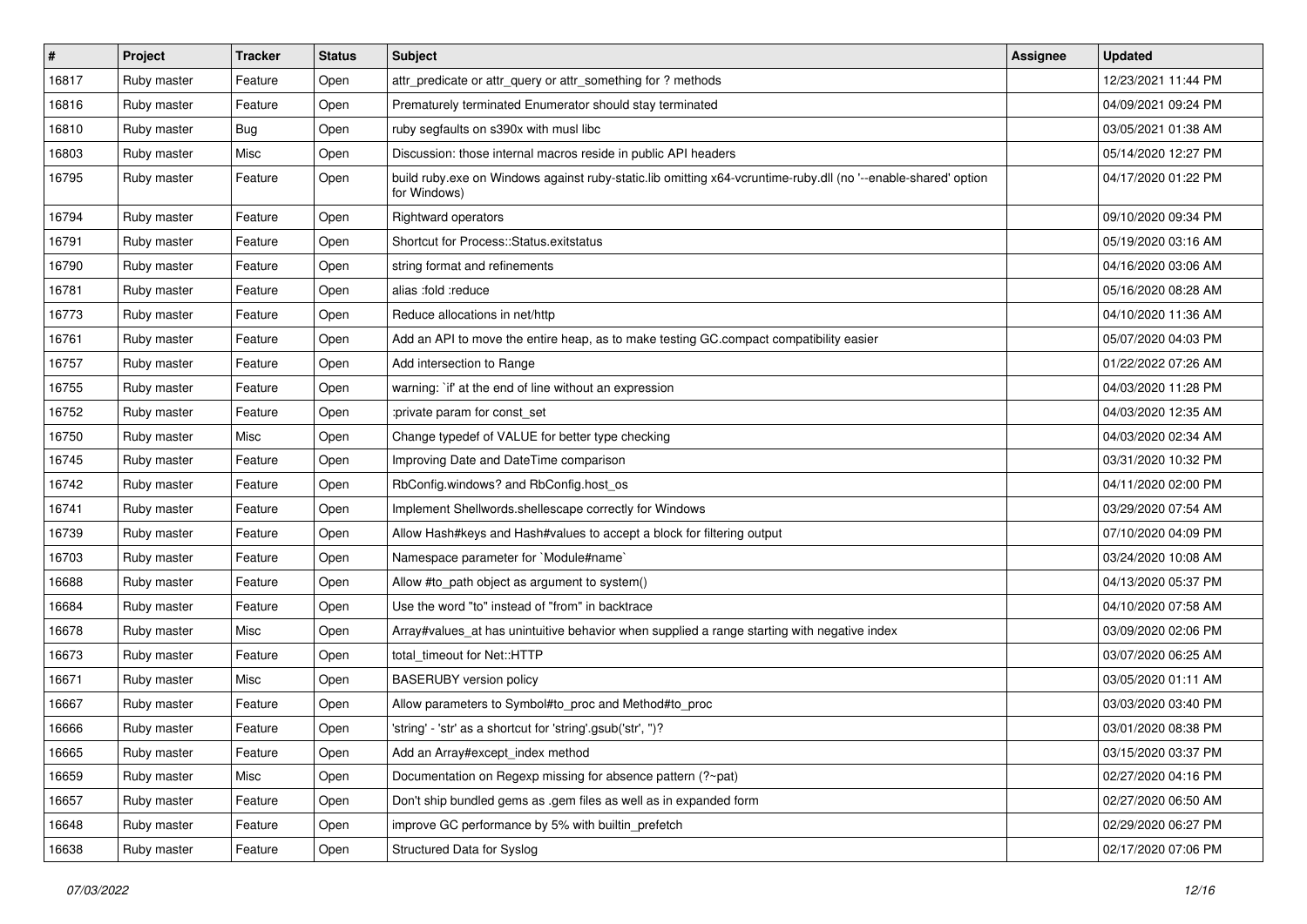| $\vert$ # | Project     | <b>Tracker</b> | <b>Status</b> | Subject                                                                                                                        | <b>Assignee</b> | <b>Updated</b>      |
|-----------|-------------|----------------|---------------|--------------------------------------------------------------------------------------------------------------------------------|-----------------|---------------------|
| 16817     | Ruby master | Feature        | Open          | attr_predicate or attr_query or attr_something for ? methods                                                                   |                 | 12/23/2021 11:44 PM |
| 16816     | Ruby master | Feature        | Open          | Prematurely terminated Enumerator should stay terminated                                                                       |                 | 04/09/2021 09:24 PM |
| 16810     | Ruby master | Bug            | Open          | ruby segfaults on s390x with musl libc                                                                                         |                 | 03/05/2021 01:38 AM |
| 16803     | Ruby master | Misc           | Open          | Discussion: those internal macros reside in public API headers                                                                 |                 | 05/14/2020 12:27 PM |
| 16795     | Ruby master | Feature        | Open          | build ruby.exe on Windows against ruby-static.lib omitting x64-vcruntime-ruby.dll (no '--enable-shared' option<br>for Windows) |                 | 04/17/2020 01:22 PM |
| 16794     | Ruby master | Feature        | Open          | Rightward operators                                                                                                            |                 | 09/10/2020 09:34 PM |
| 16791     | Ruby master | Feature        | Open          | Shortcut for Process::Status.exitstatus                                                                                        |                 | 05/19/2020 03:16 AM |
| 16790     | Ruby master | Feature        | Open          | string format and refinements                                                                                                  |                 | 04/16/2020 03:06 AM |
| 16781     | Ruby master | Feature        | Open          | alias :fold :reduce                                                                                                            |                 | 05/16/2020 08:28 AM |
| 16773     | Ruby master | Feature        | Open          | Reduce allocations in net/http                                                                                                 |                 | 04/10/2020 11:36 AM |
| 16761     | Ruby master | Feature        | Open          | Add an API to move the entire heap, as to make testing GC.compact compatibility easier                                         |                 | 05/07/2020 04:03 PM |
| 16757     | Ruby master | Feature        | Open          | Add intersection to Range                                                                                                      |                 | 01/22/2022 07:26 AM |
| 16755     | Ruby master | Feature        | Open          | warning: `if' at the end of line without an expression                                                                         |                 | 04/03/2020 11:28 PM |
| 16752     | Ruby master | Feature        | Open          | :private param for const_set                                                                                                   |                 | 04/03/2020 12:35 AM |
| 16750     | Ruby master | Misc           | Open          | Change typedef of VALUE for better type checking                                                                               |                 | 04/03/2020 02:34 AM |
| 16745     | Ruby master | Feature        | Open          | Improving Date and DateTime comparison                                                                                         |                 | 03/31/2020 10:32 PM |
| 16742     | Ruby master | Feature        | Open          | RbConfig.windows? and RbConfig.host_os                                                                                         |                 | 04/11/2020 02:00 PM |
| 16741     | Ruby master | Feature        | Open          | Implement Shellwords.shellescape correctly for Windows                                                                         |                 | 03/29/2020 07:54 AM |
| 16739     | Ruby master | Feature        | Open          | Allow Hash#keys and Hash#values to accept a block for filtering output                                                         |                 | 07/10/2020 04:09 PM |
| 16703     | Ruby master | Feature        | Open          | Namespace parameter for `Module#name`                                                                                          |                 | 03/24/2020 10:08 AM |
| 16688     | Ruby master | Feature        | Open          | Allow #to_path object as argument to system()                                                                                  |                 | 04/13/2020 05:37 PM |
| 16684     | Ruby master | Feature        | Open          | Use the word "to" instead of "from" in backtrace                                                                               |                 | 04/10/2020 07:58 AM |
| 16678     | Ruby master | Misc           | Open          | Array#values_at has unintuitive behavior when supplied a range starting with negative index                                    |                 | 03/09/2020 02:06 PM |
| 16673     | Ruby master | Feature        | Open          | total timeout for Net::HTTP                                                                                                    |                 | 03/07/2020 06:25 AM |
| 16671     | Ruby master | Misc           | Open          | <b>BASERUBY</b> version policy                                                                                                 |                 | 03/05/2020 01:11 AM |
| 16667     | Ruby master | Feature        | Open          | Allow parameters to Symbol#to_proc and Method#to_proc                                                                          |                 | 03/03/2020 03:40 PM |
| 16666     | Ruby master | Feature        | Open          | 'string' - 'str' as a shortcut for 'string'.gsub('str', ")?                                                                    |                 | 03/01/2020 08:38 PM |
| 16665     | Ruby master | Feature        | Open          | Add an Array#except_index method                                                                                               |                 | 03/15/2020 03:37 PM |
| 16659     | Ruby master | Misc           | Open          | Documentation on Regexp missing for absence pattern (?~pat)                                                                    |                 | 02/27/2020 04:16 PM |
| 16657     | Ruby master | Feature        | Open          | Don't ship bundled gems as .gem files as well as in expanded form                                                              |                 | 02/27/2020 06:50 AM |
| 16648     | Ruby master | Feature        | Open          | improve GC performance by 5% with builtin_prefetch                                                                             |                 | 02/29/2020 06:27 PM |
| 16638     | Ruby master | Feature        | Open          | Structured Data for Syslog                                                                                                     |                 | 02/17/2020 07:06 PM |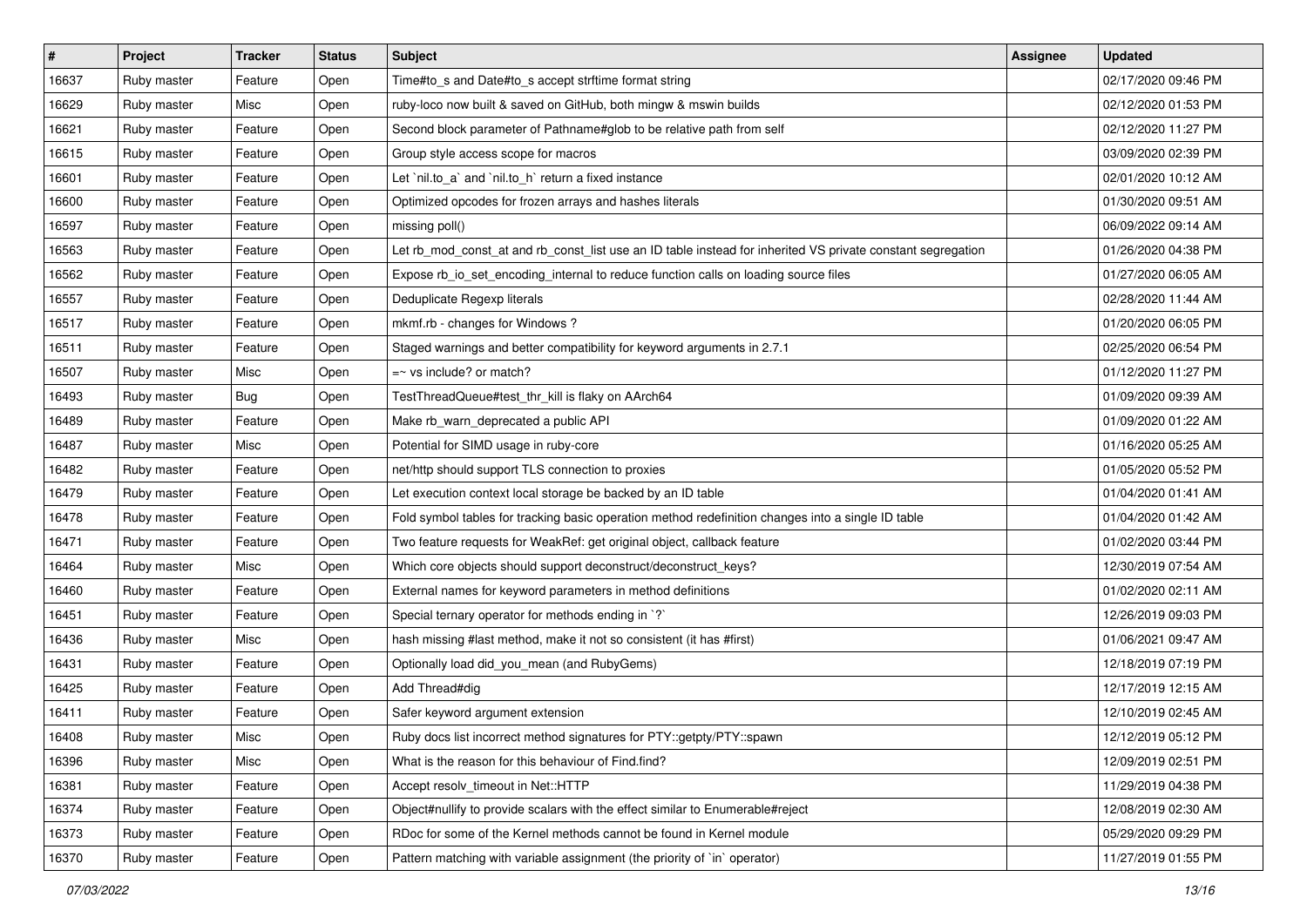| $\vert$ # | Project     | <b>Tracker</b> | <b>Status</b> | <b>Subject</b>                                                                                              | <b>Assignee</b> | <b>Updated</b>      |
|-----------|-------------|----------------|---------------|-------------------------------------------------------------------------------------------------------------|-----------------|---------------------|
| 16637     | Ruby master | Feature        | Open          | Time#to_s and Date#to_s accept strftime format string                                                       |                 | 02/17/2020 09:46 PM |
| 16629     | Ruby master | Misc           | Open          | ruby-loco now built & saved on GitHub, both mingw & mswin builds                                            |                 | 02/12/2020 01:53 PM |
| 16621     | Ruby master | Feature        | Open          | Second block parameter of Pathname#glob to be relative path from self                                       |                 | 02/12/2020 11:27 PM |
| 16615     | Ruby master | Feature        | Open          | Group style access scope for macros                                                                         |                 | 03/09/2020 02:39 PM |
| 16601     | Ruby master | Feature        | Open          | Let `nil.to_a` and `nil.to_h` return a fixed instance                                                       |                 | 02/01/2020 10:12 AM |
| 16600     | Ruby master | Feature        | Open          | Optimized opcodes for frozen arrays and hashes literals                                                     |                 | 01/30/2020 09:51 AM |
| 16597     | Ruby master | Feature        | Open          | missing poll()                                                                                              |                 | 06/09/2022 09:14 AM |
| 16563     | Ruby master | Feature        | Open          | Let rb_mod_const_at and rb_const_list use an ID table instead for inherited VS private constant segregation |                 | 01/26/2020 04:38 PM |
| 16562     | Ruby master | Feature        | Open          | Expose rb_io_set_encoding_internal to reduce function calls on loading source files                         |                 | 01/27/2020 06:05 AM |
| 16557     | Ruby master | Feature        | Open          | Deduplicate Regexp literals                                                                                 |                 | 02/28/2020 11:44 AM |
| 16517     | Ruby master | Feature        | Open          | mkmf.rb - changes for Windows?                                                                              |                 | 01/20/2020 06:05 PM |
| 16511     | Ruby master | Feature        | Open          | Staged warnings and better compatibility for keyword arguments in 2.7.1                                     |                 | 02/25/2020 06:54 PM |
| 16507     | Ruby master | Misc           | Open          | $=$ vs include? or match?                                                                                   |                 | 01/12/2020 11:27 PM |
| 16493     | Ruby master | Bug            | Open          | TestThreadQueue#test_thr_kill is flaky on AArch64                                                           |                 | 01/09/2020 09:39 AM |
| 16489     | Ruby master | Feature        | Open          | Make rb_warn_deprecated a public API                                                                        |                 | 01/09/2020 01:22 AM |
| 16487     | Ruby master | Misc           | Open          | Potential for SIMD usage in ruby-core                                                                       |                 | 01/16/2020 05:25 AM |
| 16482     | Ruby master | Feature        | Open          | net/http should support TLS connection to proxies                                                           |                 | 01/05/2020 05:52 PM |
| 16479     | Ruby master | Feature        | Open          | Let execution context local storage be backed by an ID table                                                |                 | 01/04/2020 01:41 AM |
| 16478     | Ruby master | Feature        | Open          | Fold symbol tables for tracking basic operation method redefinition changes into a single ID table          |                 | 01/04/2020 01:42 AM |
| 16471     | Ruby master | Feature        | Open          | Two feature requests for WeakRef: get original object, callback feature                                     |                 | 01/02/2020 03:44 PM |
| 16464     | Ruby master | Misc           | Open          | Which core objects should support deconstruct/deconstruct_keys?                                             |                 | 12/30/2019 07:54 AM |
| 16460     | Ruby master | Feature        | Open          | External names for keyword parameters in method definitions                                                 |                 | 01/02/2020 02:11 AM |
| 16451     | Ruby master | Feature        | Open          | Special ternary operator for methods ending in `?`                                                          |                 | 12/26/2019 09:03 PM |
| 16436     | Ruby master | Misc           | Open          | hash missing #last method, make it not so consistent (it has #first)                                        |                 | 01/06/2021 09:47 AM |
| 16431     | Ruby master | Feature        | Open          | Optionally load did_you_mean (and RubyGems)                                                                 |                 | 12/18/2019 07:19 PM |
| 16425     | Ruby master | Feature        | Open          | Add Thread#dig                                                                                              |                 | 12/17/2019 12:15 AM |
| 16411     | Ruby master | Feature        | Open          | Safer keyword argument extension                                                                            |                 | 12/10/2019 02:45 AM |
| 16408     | Ruby master | Misc           | Open          | Ruby docs list incorrect method signatures for PTY::getpty/PTY::spawn                                       |                 | 12/12/2019 05:12 PM |
| 16396     | Ruby master | Misc           | Open          | What is the reason for this behaviour of Find.find?                                                         |                 | 12/09/2019 02:51 PM |
| 16381     | Ruby master | Feature        | Open          | Accept resolv timeout in Net::HTTP                                                                          |                 | 11/29/2019 04:38 PM |
| 16374     | Ruby master | Feature        | Open          | Object#nullify to provide scalars with the effect similar to Enumerable#reject                              |                 | 12/08/2019 02:30 AM |
| 16373     | Ruby master | Feature        | Open          | RDoc for some of the Kernel methods cannot be found in Kernel module                                        |                 | 05/29/2020 09:29 PM |
| 16370     | Ruby master | Feature        | Open          | Pattern matching with variable assignment (the priority of `in` operator)                                   |                 | 11/27/2019 01:55 PM |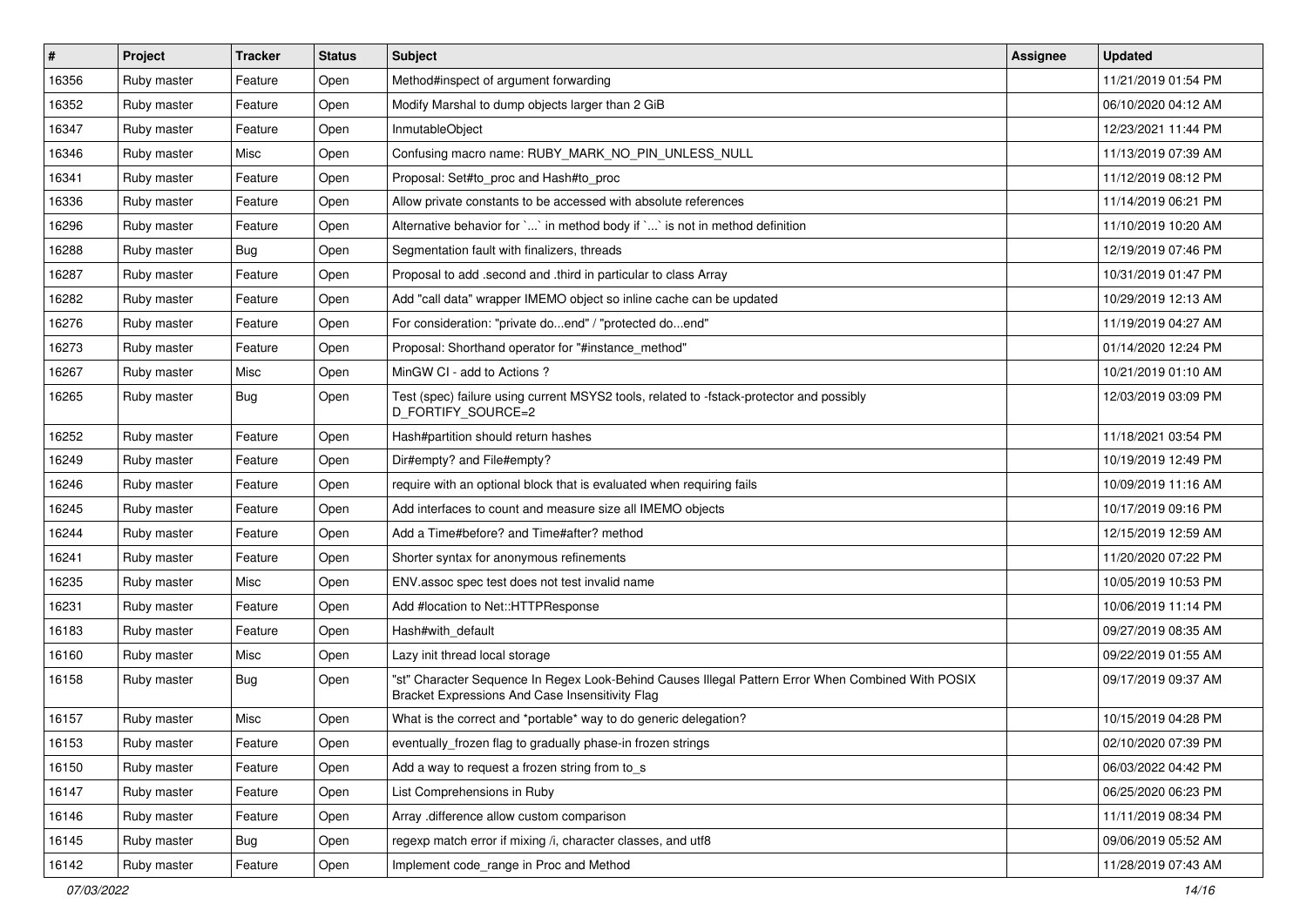| $\vert$ # | Project     | <b>Tracker</b> | <b>Status</b> | <b>Subject</b>                                                                                                                                        | <b>Assignee</b> | <b>Updated</b>      |
|-----------|-------------|----------------|---------------|-------------------------------------------------------------------------------------------------------------------------------------------------------|-----------------|---------------------|
| 16356     | Ruby master | Feature        | Open          | Method#inspect of argument forwarding                                                                                                                 |                 | 11/21/2019 01:54 PM |
| 16352     | Ruby master | Feature        | Open          | Modify Marshal to dump objects larger than 2 GiB                                                                                                      |                 | 06/10/2020 04:12 AM |
| 16347     | Ruby master | Feature        | Open          | InmutableObject                                                                                                                                       |                 | 12/23/2021 11:44 PM |
| 16346     | Ruby master | Misc           | Open          | Confusing macro name: RUBY_MARK_NO_PIN_UNLESS_NULL                                                                                                    |                 | 11/13/2019 07:39 AM |
| 16341     | Ruby master | Feature        | Open          | Proposal: Set#to_proc and Hash#to_proc                                                                                                                |                 | 11/12/2019 08:12 PM |
| 16336     | Ruby master | Feature        | Open          | Allow private constants to be accessed with absolute references                                                                                       |                 | 11/14/2019 06:21 PM |
| 16296     | Ruby master | Feature        | Open          | Alternative behavior for `` in method body if `` is not in method definition                                                                          |                 | 11/10/2019 10:20 AM |
| 16288     | Ruby master | <b>Bug</b>     | Open          | Segmentation fault with finalizers, threads                                                                                                           |                 | 12/19/2019 07:46 PM |
| 16287     | Ruby master | Feature        | Open          | Proposal to add .second and .third in particular to class Array                                                                                       |                 | 10/31/2019 01:47 PM |
| 16282     | Ruby master | Feature        | Open          | Add "call data" wrapper IMEMO object so inline cache can be updated                                                                                   |                 | 10/29/2019 12:13 AM |
| 16276     | Ruby master | Feature        | Open          | For consideration: "private doend" / "protected doend"                                                                                                |                 | 11/19/2019 04:27 AM |
| 16273     | Ruby master | Feature        | Open          | Proposal: Shorthand operator for "#instance_method"                                                                                                   |                 | 01/14/2020 12:24 PM |
| 16267     | Ruby master | Misc           | Open          | MinGW CI - add to Actions ?                                                                                                                           |                 | 10/21/2019 01:10 AM |
| 16265     | Ruby master | Bug            | Open          | Test (spec) failure using current MSYS2 tools, related to -fstack-protector and possibly<br>D_FORTIFY_SOURCE=2                                        |                 | 12/03/2019 03:09 PM |
| 16252     | Ruby master | Feature        | Open          | Hash#partition should return hashes                                                                                                                   |                 | 11/18/2021 03:54 PM |
| 16249     | Ruby master | Feature        | Open          | Dir#empty? and File#empty?                                                                                                                            |                 | 10/19/2019 12:49 PM |
| 16246     | Ruby master | Feature        | Open          | require with an optional block that is evaluated when requiring fails                                                                                 |                 | 10/09/2019 11:16 AM |
| 16245     | Ruby master | Feature        | Open          | Add interfaces to count and measure size all IMEMO objects                                                                                            |                 | 10/17/2019 09:16 PM |
| 16244     | Ruby master | Feature        | Open          | Add a Time#before? and Time#after? method                                                                                                             |                 | 12/15/2019 12:59 AM |
| 16241     | Ruby master | Feature        | Open          | Shorter syntax for anonymous refinements                                                                                                              |                 | 11/20/2020 07:22 PM |
| 16235     | Ruby master | Misc           | Open          | ENV assoc spec test does not test invalid name                                                                                                        |                 | 10/05/2019 10:53 PM |
| 16231     | Ruby master | Feature        | Open          | Add #location to Net::HTTPResponse                                                                                                                    |                 | 10/06/2019 11:14 PM |
| 16183     | Ruby master | Feature        | Open          | Hash#with_default                                                                                                                                     |                 | 09/27/2019 08:35 AM |
| 16160     | Ruby master | Misc           | Open          | Lazy init thread local storage                                                                                                                        |                 | 09/22/2019 01:55 AM |
| 16158     | Ruby master | Bug            | Open          | "st" Character Sequence In Regex Look-Behind Causes Illegal Pattern Error When Combined With POSIX<br>Bracket Expressions And Case Insensitivity Flag |                 | 09/17/2019 09:37 AM |
| 16157     | Ruby master | Misc           | Open          | What is the correct and *portable* way to do generic delegation?                                                                                      |                 | 10/15/2019 04:28 PM |
| 16153     | Ruby master | Feature        | Open          | eventually_frozen flag to gradually phase-in frozen strings                                                                                           |                 | 02/10/2020 07:39 PM |
| 16150     | Ruby master | Feature        | Open          | Add a way to request a frozen string from to_s                                                                                                        |                 | 06/03/2022 04:42 PM |
| 16147     | Ruby master | Feature        | Open          | List Comprehensions in Ruby                                                                                                                           |                 | 06/25/2020 06:23 PM |
| 16146     | Ruby master | Feature        | Open          | Array .difference allow custom comparison                                                                                                             |                 | 11/11/2019 08:34 PM |
| 16145     | Ruby master | <b>Bug</b>     | Open          | regexp match error if mixing /i, character classes, and utf8                                                                                          |                 | 09/06/2019 05:52 AM |
| 16142     | Ruby master | Feature        | Open          | Implement code_range in Proc and Method                                                                                                               |                 | 11/28/2019 07:43 AM |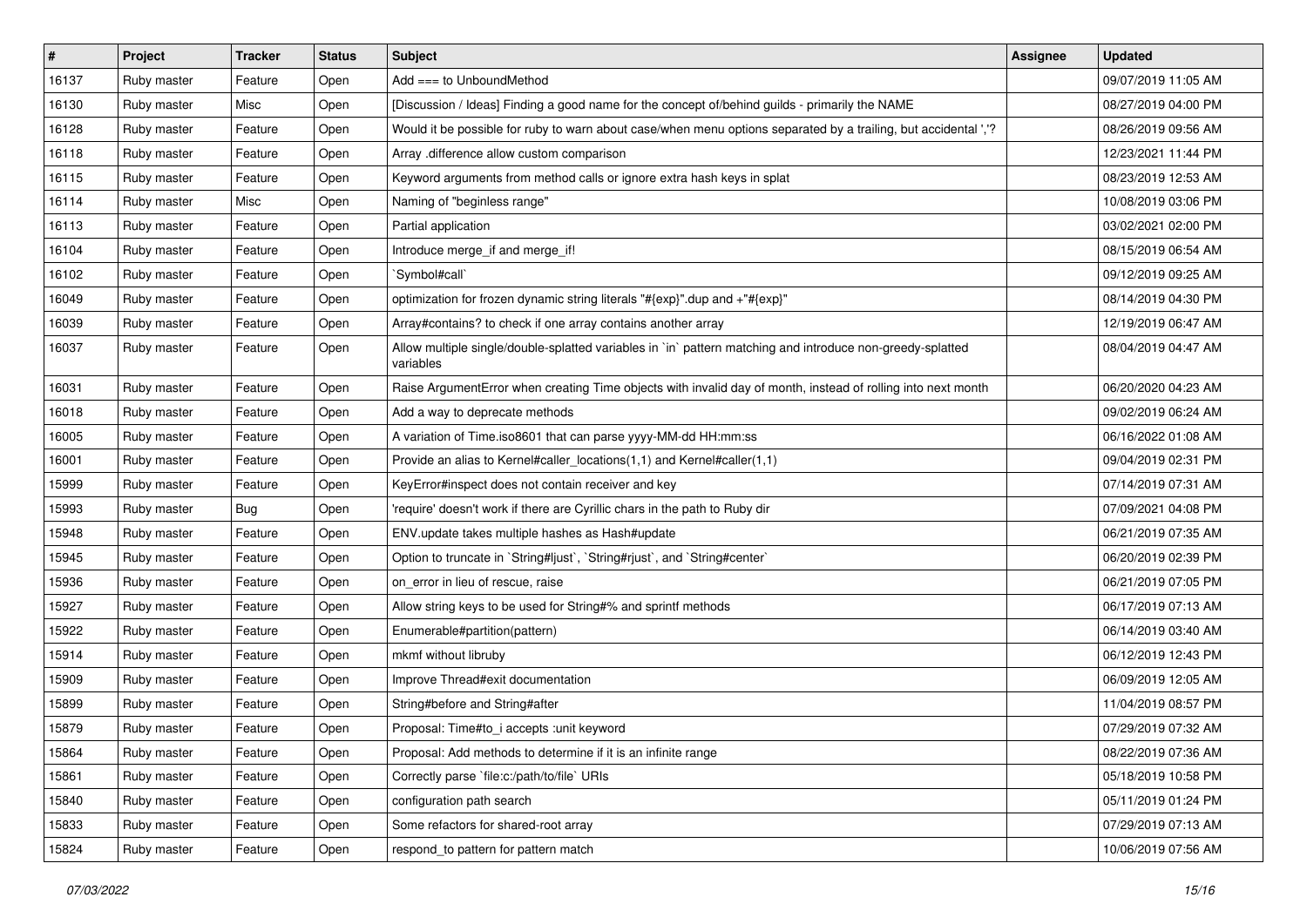| $\vert$ # | Project     | <b>Tracker</b> | <b>Status</b> | <b>Subject</b>                                                                                                          | <b>Assignee</b> | <b>Updated</b>      |
|-----------|-------------|----------------|---------------|-------------------------------------------------------------------------------------------------------------------------|-----------------|---------------------|
| 16137     | Ruby master | Feature        | Open          | Add $==$ to UnboundMethod                                                                                               |                 | 09/07/2019 11:05 AM |
| 16130     | Ruby master | Misc           | Open          | [Discussion / Ideas] Finding a good name for the concept of/behind guilds - primarily the NAME                          |                 | 08/27/2019 04:00 PM |
| 16128     | Ruby master | Feature        | Open          | Would it be possible for ruby to warn about case/when menu options separated by a trailing, but accidental ','?         |                 | 08/26/2019 09:56 AM |
| 16118     | Ruby master | Feature        | Open          | Array .difference allow custom comparison                                                                               |                 | 12/23/2021 11:44 PM |
| 16115     | Ruby master | Feature        | Open          | Keyword arguments from method calls or ignore extra hash keys in splat                                                  |                 | 08/23/2019 12:53 AM |
| 16114     | Ruby master | Misc           | Open          | Naming of "beginless range"                                                                                             |                 | 10/08/2019 03:06 PM |
| 16113     | Ruby master | Feature        | Open          | Partial application                                                                                                     |                 | 03/02/2021 02:00 PM |
| 16104     | Ruby master | Feature        | Open          | Introduce merge_if and merge_if!                                                                                        |                 | 08/15/2019 06:54 AM |
| 16102     | Ruby master | Feature        | Open          | `Symbol#call`                                                                                                           |                 | 09/12/2019 09:25 AM |
| 16049     | Ruby master | Feature        | Open          | optimization for frozen dynamic string literals "#{exp}".dup and +"#{exp}"                                              |                 | 08/14/2019 04:30 PM |
| 16039     | Ruby master | Feature        | Open          | Array#contains? to check if one array contains another array                                                            |                 | 12/19/2019 06:47 AM |
| 16037     | Ruby master | Feature        | Open          | Allow multiple single/double-splatted variables in `in` pattern matching and introduce non-greedy-splatted<br>variables |                 | 08/04/2019 04:47 AM |
| 16031     | Ruby master | Feature        | Open          | Raise ArgumentError when creating Time objects with invalid day of month, instead of rolling into next month            |                 | 06/20/2020 04:23 AM |
| 16018     | Ruby master | Feature        | Open          | Add a way to deprecate methods                                                                                          |                 | 09/02/2019 06:24 AM |
| 16005     | Ruby master | Feature        | Open          | A variation of Time.iso8601 that can parse yyyy-MM-dd HH:mm:ss                                                          |                 | 06/16/2022 01:08 AM |
| 16001     | Ruby master | Feature        | Open          | Provide an alias to Kernel#caller_locations(1,1) and Kernel#caller(1,1)                                                 |                 | 09/04/2019 02:31 PM |
| 15999     | Ruby master | Feature        | Open          | KeyError#inspect does not contain receiver and key                                                                      |                 | 07/14/2019 07:31 AM |
| 15993     | Ruby master | Bug            | Open          | 'require' doesn't work if there are Cyrillic chars in the path to Ruby dir                                              |                 | 07/09/2021 04:08 PM |
| 15948     | Ruby master | Feature        | Open          | ENV.update takes multiple hashes as Hash#update                                                                         |                 | 06/21/2019 07:35 AM |
| 15945     | Ruby master | Feature        | Open          | Option to truncate in `String#ljust`, `String#rjust`, and `String#center`                                               |                 | 06/20/2019 02:39 PM |
| 15936     | Ruby master | Feature        | Open          | on error in lieu of rescue, raise                                                                                       |                 | 06/21/2019 07:05 PM |
| 15927     | Ruby master | Feature        | Open          | Allow string keys to be used for String#% and sprintf methods                                                           |                 | 06/17/2019 07:13 AM |
| 15922     | Ruby master | Feature        | Open          | Enumerable#partition(pattern)                                                                                           |                 | 06/14/2019 03:40 AM |
| 15914     | Ruby master | Feature        | Open          | mkmf without libruby                                                                                                    |                 | 06/12/2019 12:43 PM |
| 15909     | Ruby master | Feature        | Open          | Improve Thread#exit documentation                                                                                       |                 | 06/09/2019 12:05 AM |
| 15899     | Ruby master | Feature        | Open          | String#before and String#after                                                                                          |                 | 11/04/2019 08:57 PM |
| 15879     | Ruby master | Feature        | Open          | Proposal: Time#to_i accepts :unit keyword                                                                               |                 | 07/29/2019 07:32 AM |
| 15864     | Ruby master | Feature        | Open          | Proposal: Add methods to determine if it is an infinite range                                                           |                 | 08/22/2019 07:36 AM |
| 15861     | Ruby master | Feature        | Open          | Correctly parse `file:c:/path/to/file` URIs                                                                             |                 | 05/18/2019 10:58 PM |
| 15840     | Ruby master | Feature        | Open          | configuration path search                                                                                               |                 | 05/11/2019 01:24 PM |
| 15833     | Ruby master | Feature        | Open          | Some refactors for shared-root array                                                                                    |                 | 07/29/2019 07:13 AM |
| 15824     | Ruby master | Feature        | Open          | respond_to pattern for pattern match                                                                                    |                 | 10/06/2019 07:56 AM |